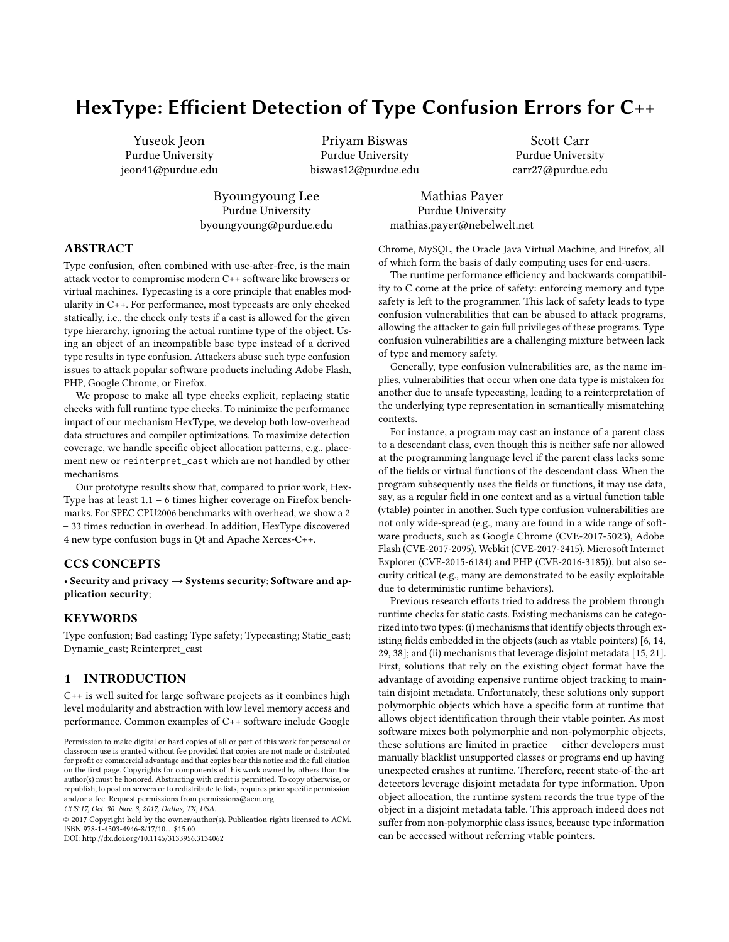# HexType: Efficient Detection of Type Confusion Errors for C++

Yuseok Jeon Purdue University jeon41@purdue.edu

Priyam Biswas Purdue University biswas12@purdue.edu

Scott Carr Purdue University carr27@purdue.edu

Byoungyoung Lee Purdue University byoungyoung@purdue.edu

Mathias Payer Purdue University mathias.payer@nebelwelt.net

# ABSTRACT

Type confusion, often combined with use-after-free, is the main attack vector to compromise modern C++ software like browsers or virtual machines. Typecasting is a core principle that enables modularity in C++. For performance, most typecasts are only checked statically, i.e., the check only tests if a cast is allowed for the given type hierarchy, ignoring the actual runtime type of the object. Using an object of an incompatible base type instead of a derived type results in type confusion. Attackers abuse such type confusion issues to attack popular software products including Adobe Flash, PHP, Google Chrome, or Firefox.

We propose to make all type checks explicit, replacing static checks with full runtime type checks. To minimize the performance impact of our mechanism HexType, we develop both low-overhead data structures and compiler optimizations. To maximize detection coverage, we handle specific object allocation patterns, e.g., placement new or reinterpret\_cast which are not handled by other mechanisms.

Our prototype results show that, compared to prior work, Hex-Type has at least 1.1 – 6 times higher coverage on Firefox benchmarks. For SPEC CPU2006 benchmarks with overhead, we show a 2 – 33 times reduction in overhead. In addition, HexType discovered 4 new type confusion bugs in Qt and Apache Xerces-C++.

# CCS CONCEPTS

• Security and privacy → Systems security; Software and application security;

## **KEYWORDS**

Type confusion; Bad casting; Type safety; Typecasting; Static\_cast; Dynamic\_cast; Reinterpret\_cast

#### 1 INTRODUCTION

C++ is well suited for large software projects as it combines high level modularity and abstraction with low level memory access and performance. Common examples of C++ software include Google

CCS'17, Oct. 30–Nov. 3, 2017, Dallas, TX, USA.

© 2017 Copyright held by the owner/author(s). Publication rights licensed to ACM. ISBN 978-1-4503-4946-8/17/10. . . \$15.00

DOI: http://dx.doi.org/10.1145/3133956.3134062

Chrome, MySQL, the Oracle Java Virtual Machine, and Firefox, all of which form the basis of daily computing uses for end-users.

The runtime performance efficiency and backwards compatibility to C come at the price of safety: enforcing memory and type safety is left to the programmer. This lack of safety leads to type confusion vulnerabilities that can be abused to attack programs, allowing the attacker to gain full privileges of these programs. Type confusion vulnerabilities are a challenging mixture between lack of type and memory safety.

Generally, type confusion vulnerabilities are, as the name implies, vulnerabilities that occur when one data type is mistaken for another due to unsafe typecasting, leading to a reinterpretation of the underlying type representation in semantically mismatching contexts.

For instance, a program may cast an instance of a parent class to a descendant class, even though this is neither safe nor allowed at the programming language level if the parent class lacks some of the fields or virtual functions of the descendant class. When the program subsequently uses the fields or functions, it may use data, say, as a regular field in one context and as a virtual function table (vtable) pointer in another. Such type confusion vulnerabilities are not only wide-spread (e.g., many are found in a wide range of software products, such as Google Chrome (CVE-2017-5023), Adobe Flash (CVE-2017-2095), Webkit (CVE-2017-2415), Microsoft Internet Explorer (CVE-2015-6184) and PHP (CVE-2016-3185)), but also security critical (e.g., many are demonstrated to be easily exploitable due to deterministic runtime behaviors).

Previous research efforts tried to address the problem through runtime checks for static casts. Existing mechanisms can be categorized into two types: (i) mechanisms that identify objects through ex-isting fields embedded in the objects (such as vtable pointers) [\[6,](#page-11-0) [14,](#page-11-1) [29,](#page-12-0) [38\]](#page-12-1); and (ii) mechanisms that leverage disjoint metadata [\[15,](#page-11-2) [21\]](#page-11-3). First, solutions that rely on the existing object format have the advantage of avoiding expensive runtime object tracking to maintain disjoint metadata. Unfortunately, these solutions only support polymorphic objects which have a specific form at runtime that allows object identification through their vtable pointer. As most software mixes both polymorphic and non-polymorphic objects, these solutions are limited in practice — either developers must manually blacklist unsupported classes or programs end up having unexpected crashes at runtime. Therefore, recent state-of-the-art detectors leverage disjoint metadata for type information. Upon object allocation, the runtime system records the true type of the object in a disjoint metadata table. This approach indeed does not suffer from non-polymorphic class issues, because type information can be accessed without referring vtable pointers.

Permission to make digital or hard copies of all or part of this work for personal or classroom use is granted without fee provided that copies are not made or distributed for profit or commercial advantage and that copies bear this notice and the full citation on the first page. Copyrights for components of this work owned by others than the author(s) must be honored. Abstracting with credit is permitted. To copy otherwise, or republish, to post on servers or to redistribute to lists, requires prior specific permission and/or a fee. Request permissions from permissions@acm.org.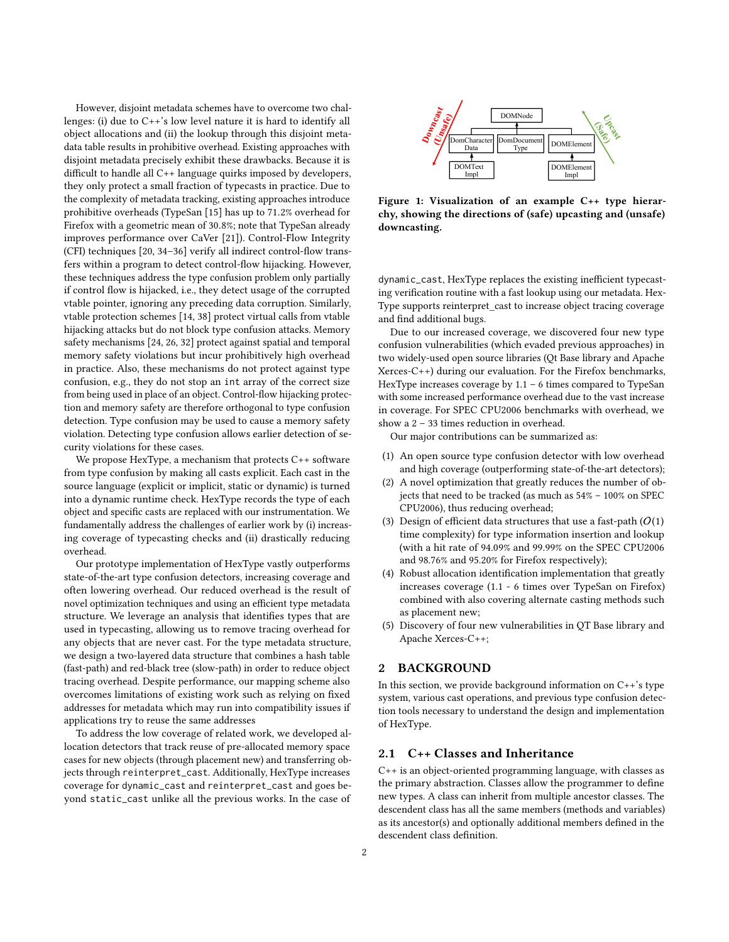However, disjoint metadata schemes have to overcome two challenges: (i) due to C++'s low level nature it is hard to identify all object allocations and (ii) the lookup through this disjoint metadata table results in prohibitive overhead. Existing approaches with disjoint metadata precisely exhibit these drawbacks. Because it is difficult to handle all  $C_{++}$  language quirks imposed by developers, they only protect a small fraction of typecasts in practice. Due to the complexity of metadata tracking, existing approaches introduce prohibitive overheads (TypeSan [\[15\]](#page-11-2) has up to <sup>71</sup>.2% overhead for Firefox with a geometric mean of <sup>30</sup>.8%; note that TypeSan already improves performance over CaVer [\[21\]](#page-11-3)). Control-Flow Integrity (CFI) techniques  $[20, 34-36]$  $[20, 34-36]$  $[20, 34-36]$  verify all indirect control-flow transfers within a program to detect control-flow hijacking. However, these techniques address the type confusion problem only partially if control flow is hijacked, i.e., they detect usage of the corrupted vtable pointer, ignoring any preceding data corruption. Similarly, vtable protection schemes [\[14,](#page-11-1) [38\]](#page-12-1) protect virtual calls from vtable hijacking attacks but do not block type confusion attacks. Memory safety mechanisms [\[24,](#page-12-4) [26,](#page-12-5) [32\]](#page-12-6) protect against spatial and temporal memory safety violations but incur prohibitively high overhead in practice. Also, these mechanisms do not protect against type confusion, e.g., they do not stop an int array of the correct size from being used in place of an object. Control-flow hijacking protection and memory safety are therefore orthogonal to type confusion detection. Type confusion may be used to cause a memory safety violation. Detecting type confusion allows earlier detection of security violations for these cases.

We propose HexType, a mechanism that protects C++ software from type confusion by making all casts explicit. Each cast in the source language (explicit or implicit, static or dynamic) is turned into a dynamic runtime check. HexType records the type of each object and specific casts are replaced with our instrumentation. We fundamentally address the challenges of earlier work by (i) increasing coverage of typecasting checks and (ii) drastically reducing overhead.

Our prototype implementation of HexType vastly outperforms state-of-the-art type confusion detectors, increasing coverage and often lowering overhead. Our reduced overhead is the result of novel optimization techniques and using an efficient type metadata structure. We leverage an analysis that identifies types that are used in typecasting, allowing us to remove tracing overhead for any objects that are never cast. For the type metadata structure, we design a two-layered data structure that combines a hash table (fast-path) and red-black tree (slow-path) in order to reduce object tracing overhead. Despite performance, our mapping scheme also overcomes limitations of existing work such as relying on fixed addresses for metadata which may run into compatibility issues if applications try to reuse the same addresses

To address the low coverage of related work, we developed allocation detectors that track reuse of pre-allocated memory space cases for new objects (through placement new) and transferring objects through reinterpret\_cast. Additionally, HexType increases coverage for dynamic\_cast and reinterpret\_cast and goes beyond static\_cast unlike all the previous works. In the case of

<span id="page-1-0"></span>

Figure 1: Visualization of an example C++ type hierarchy, showing the directions of (safe) upcasting and (unsafe) downcasting.

dynamic\_cast, HexType replaces the existing inefficient typecasting verification routine with a fast lookup using our metadata. Hex-Type supports reinterpret\_cast to increase object tracing coverage and find additional bugs.

Due to our increased coverage, we discovered four new type confusion vulnerabilities (which evaded previous approaches) in two widely-used open source libraries (Qt Base library and Apache Xerces-C++) during our evaluation. For the Firefox benchmarks, HexType increases coverage by 1.1 – 6 times compared to TypeSan with some increased performance overhead due to the vast increase in coverage. For SPEC CPU2006 benchmarks with overhead, we show a 2 – 33 times reduction in overhead.

Our major contributions can be summarized as:

- (1) An open source type confusion detector with low overhead and high coverage (outperforming state-of-the-art detectors);
- (2) A novel optimization that greatly reduces the number of objects that need to be tracked (as much as 54% – 100% on SPEC CPU2006), thus reducing overhead;
- (3) Design of efficient data structures that use a fast-path  $(O(1))$ time complexity) for type information insertion and lookup (with a hit rate of 94.09% and 99.99% on the SPEC CPU2006 and 98.76% and 95.20% for Firefox respectively);
- (4) Robust allocation identification implementation that greatly increases coverage (1.1 - 6 times over TypeSan on Firefox) combined with also covering alternate casting methods such as placement new;
- (5) Discovery of four new vulnerabilities in QT Base library and Apache Xerces-C++;

# 2 BACKGROUND

In this section, we provide background information on  $C++$ 's type system, various cast operations, and previous type confusion detection tools necessary to understand the design and implementation of HexType.

## 2.1 C++ Classes and Inheritance

C++ is an object-oriented programming language, with classes as the primary abstraction. Classes allow the programmer to define new types. A class can inherit from multiple ancestor classes. The descendent class has all the same members (methods and variables) as its ancestor(s) and optionally additional members defined in the descendent class definition.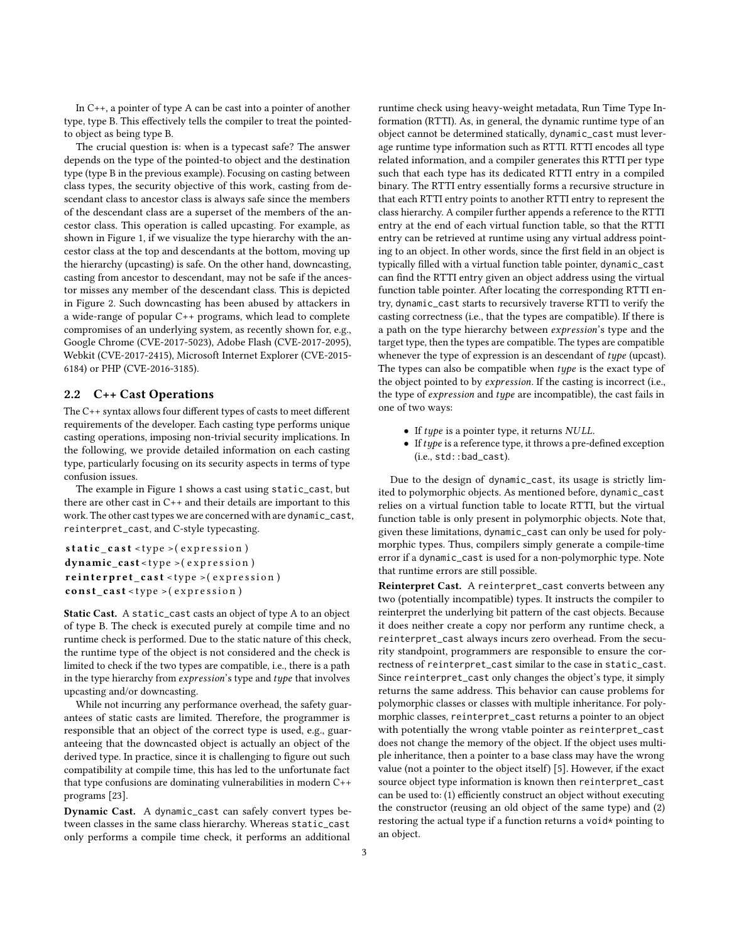In C++, a pointer of type A can be cast into a pointer of another type, type B. This effectively tells the compiler to treat the pointedto object as being type B.

The crucial question is: when is a typecast safe? The answer depends on the type of the pointed-to object and the destination type (type B in the previous example). Focusing on casting between class types, the security objective of this work, casting from descendant class to ancestor class is always safe since the members of the descendant class are a superset of the members of the ancestor class. This operation is called upcasting. For example, as shown in [Figure 1,](#page-1-0) if we visualize the type hierarchy with the ancestor class at the top and descendants at the bottom, moving up the hierarchy (upcasting) is safe. On the other hand, downcasting, casting from ancestor to descendant, may not be safe if the ancestor misses any member of the descendant class. This is depicted in [Figure 2.](#page-3-0) Such downcasting has been abused by attackers in a wide-range of popular C++ programs, which lead to complete compromises of an underlying system, as recently shown for, e.g., Google Chrome (CVE-2017-5023), Adobe Flash (CVE-2017-2095), Webkit (CVE-2017-2415), Microsoft Internet Explorer (CVE-2015- 6184) or PHP (CVE-2016-3185).

## <span id="page-2-0"></span>2.2 C++ Cast Operations

The  $C++$  syntax allows four different types of casts to meet different requirements of the developer. Each casting type performs unique casting operations, imposing non-trivial security implications. In the following, we provide detailed information on each casting type, particularly focusing on its security aspects in terms of type confusion issues.

The example in [Figure 1](#page-1-0) shows a cast using static\_cast, but there are other cast in C++ and their details are important to this work. The other cast types we are concerned with are dynamic\_cast, reinterpret\_cast, and C-style typecasting.

```
static\_cast < type > (expression)
dynamic_cast < type > (expression)
reinterpret\_cast < type > (expression)const\_cast < type >( expression )
```
Static Cast. A static\_cast casts an object of type A to an object of type B. The check is executed purely at compile time and no runtime check is performed. Due to the static nature of this check, the runtime type of the object is not considered and the check is limited to check if the two types are compatible, i.e., there is a path in the type hierarchy from  $expression's$  type and  $type$  that involves upcasting and/or downcasting.

While not incurring any performance overhead, the safety guarantees of static casts are limited. Therefore, the programmer is responsible that an object of the correct type is used, e.g., guaranteeing that the downcasted object is actually an object of the derived type. In practice, since it is challenging to figure out such compatibility at compile time, this has led to the unfortunate fact that type confusions are dominating vulnerabilities in modern C++ programs [\[23\]](#page-12-7).

Dynamic Cast. A dynamic\_cast can safely convert types between classes in the same class hierarchy. Whereas static\_cast only performs a compile time check, it performs an additional

runtime check using heavy-weight metadata, Run Time Type Information (RTTI). As, in general, the dynamic runtime type of an object cannot be determined statically, dynamic\_cast must leverage runtime type information such as RTTI. RTTI encodes all type related information, and a compiler generates this RTTI per type such that each type has its dedicated RTTI entry in a compiled binary. The RTTI entry essentially forms a recursive structure in that each RTTI entry points to another RTTI entry to represent the class hierarchy. A compiler further appends a reference to the RTTI entry at the end of each virtual function table, so that the RTTI entry can be retrieved at runtime using any virtual address pointing to an object. In other words, since the first field in an object is typically filled with a virtual function table pointer, dynamic\_cast can find the RTTI entry given an object address using the virtual function table pointer. After locating the corresponding RTTI entry, dynamic\_cast starts to recursively traverse RTTI to verify the casting correctness (i.e., that the types are compatible). If there is a path on the type hierarchy between expression's type and the target type, then the types are compatible. The types are compatible whenever the type of expression is an descendant of type (upcast). The types can also be compatible when type is the exact type of the object pointed to by expression. If the casting is incorrect (i.e., the type of expression and type are incompatible), the cast fails in one of two ways:

- If type is a pointer type, it returns NULL.
- $\bullet$  If  $type$  is a reference type, it throws a pre-defined exception (i.e., std::bad\_cast).

Due to the design of dynamic\_cast, its usage is strictly limited to polymorphic objects. As mentioned before, dynamic\_cast relies on a virtual function table to locate RTTI, but the virtual function table is only present in polymorphic objects. Note that, given these limitations, dynamic\_cast can only be used for polymorphic types. Thus, compilers simply generate a compile-time error if a dynamic\_cast is used for a non-polymorphic type. Note that runtime errors are still possible.

Reinterpret Cast. A reinterpret\_cast converts between any two (potentially incompatible) types. It instructs the compiler to reinterpret the underlying bit pattern of the cast objects. Because it does neither create a copy nor perform any runtime check, a reinterpret\_cast always incurs zero overhead. From the security standpoint, programmers are responsible to ensure the correctness of reinterpret\_cast similar to the case in static\_cast. Since reinterpret\_cast only changes the object's type, it simply returns the same address. This behavior can cause problems for polymorphic classes or classes with multiple inheritance. For polymorphic classes, reinterpret\_cast returns a pointer to an object with potentially the wrong vtable pointer as reinterpret\_cast does not change the memory of the object. If the object uses multiple inheritance, then a pointer to a base class may have the wrong value (not a pointer to the object itself) [\[5\]](#page-11-5). However, if the exact source object type information is known then reinterpret\_cast can be used to: (1) efficiently construct an object without executing the constructor (reusing an old object of the same type) and (2) restoring the actual type if a function returns a void\* pointing to an object.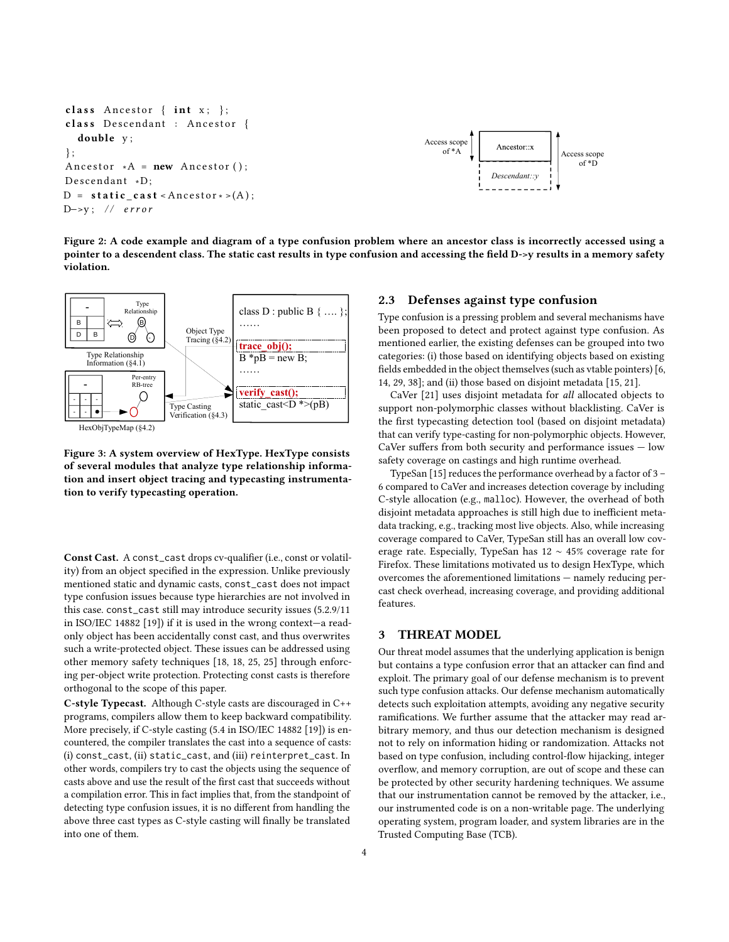```
class Ancestor \{int x; \};
class Descendant : Ancestor {
  double y;
\};
Ancestor *A = new Ancestor ();
Descendant *D;
D = state\_cast <Ancestor * >(A);
D->y; // error
```


Figure 2: A code example and diagram of a type confusion problem where an ancestor class is incorrectly accessed using a pointer to a descendent class. The static cast results in type confusion and accessing the field D->y results in a memory safety violation.

<span id="page-3-1"></span>

Figure 3: A system overview of HexType. HexType consists of several modules that analyze type relationship information and insert object tracing and typecasting instrumentation to verify typecasting operation.

Const Cast. A const\_cast drops cv-qualifier (i.e., const or volatility) from an object specified in the expression. Unlike previously mentioned static and dynamic casts, const\_cast does not impact type confusion issues because type hierarchies are not involved in this case. const\_cast still may introduce security issues (5.2.9/11 in ISO/IEC 14882 [\[19\]](#page-11-6)) if it is used in the wrong context—a readonly object has been accidentally const cast, and thus overwrites such a write-protected object. These issues can be addressed using other memory safety techniques [\[18,](#page-11-7) [18,](#page-11-7) [25,](#page-12-8) [25\]](#page-12-8) through enforcing per-object write protection. Protecting const casts is therefore orthogonal to the scope of this paper.

C-style Typecast. Although C-style casts are discouraged in C++ programs, compilers allow them to keep backward compatibility. More precisely, if C-style casting (5.4 in ISO/IEC 14882 [\[19\]](#page-11-6)) is encountered, the compiler translates the cast into a sequence of casts: (i) const\_cast, (ii) static\_cast, and (iii) reinterpret\_cast. In other words, compilers try to cast the objects using the sequence of casts above and use the result of the first cast that succeeds without a compilation error. This in fact implies that, from the standpoint of detecting type confusion issues, it is no different from handling the above three cast types as C-style casting will finally be translated into one of them.

# 2.3 Defenses against type confusion

Type confusion is a pressing problem and several mechanisms have been proposed to detect and protect against type confusion. As mentioned earlier, the existing defenses can be grouped into two categories: (i) those based on identifying objects based on existing fields embedded in the object themselves (such as vtable pointers) [\[6,](#page-11-0) [14,](#page-11-1) [29,](#page-12-0) [38\]](#page-12-1); and (ii) those based on disjoint metadata [\[15,](#page-11-2) [21\]](#page-11-3).

CaVer [\[21\]](#page-11-3) uses disjoint metadata for all allocated objects to support non-polymorphic classes without blacklisting. CaVer is the first typecasting detection tool (based on disjoint metadata) that can verify type-casting for non-polymorphic objects. However, CaVer suffers from both security and performance issues  $-$  low safety coverage on castings and high runtime overhead.

TypeSan [\[15\]](#page-11-2) reduces the performance overhead by a factor of 3 – 6 compared to CaVer and increases detection coverage by including C-style allocation (e.g., malloc). However, the overhead of both disjoint metadata approaches is still high due to inefficient metadata tracking, e.g., tracking most live objects. Also, while increasing coverage compared to CaVer, TypeSan still has an overall low coverage rate. Especially, TypeSan has 12 ∼ 45% coverage rate for Firefox. These limitations motivated us to design HexType, which overcomes the aforementioned limitations — namely reducing percast check overhead, increasing coverage, and providing additional features.

# 3 THREAT MODEL

Our threat model assumes that the underlying application is benign but contains a type confusion error that an attacker can find and exploit. The primary goal of our defense mechanism is to prevent such type confusion attacks. Our defense mechanism automatically detects such exploitation attempts, avoiding any negative security ramifications. We further assume that the attacker may read arbitrary memory, and thus our detection mechanism is designed not to rely on information hiding or randomization. Attacks not based on type confusion, including control-flow hijacking, integer overflow, and memory corruption, are out of scope and these can be protected by other security hardening techniques. We assume that our instrumentation cannot be removed by the attacker, i.e., our instrumented code is on a non-writable page. The underlying operating system, program loader, and system libraries are in the Trusted Computing Base (TCB).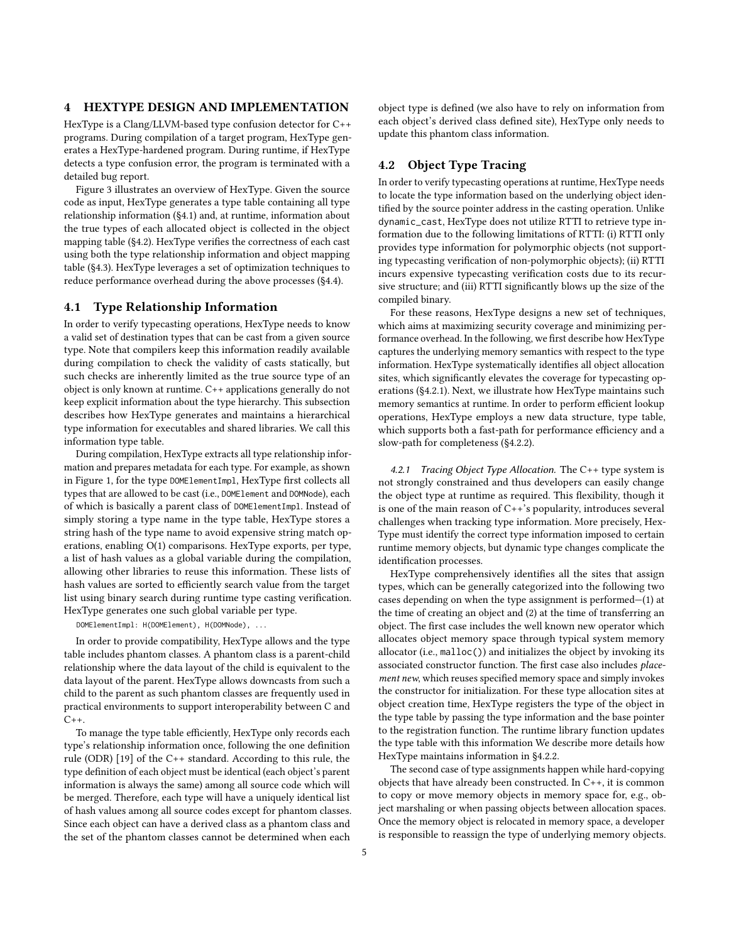## 4 HEXTYPE DESIGN AND IMPLEMENTATION

HexType is a Clang/LLVM-based type confusion detector for C++ programs. During compilation of a target program, HexType generates a HexType-hardened program. During runtime, if HexType detects a type confusion error, the program is terminated with a detailed bug report.

[Figure 3](#page-3-1) illustrates an overview of HexType. Given the source code as input, HexType generates a type table containing all type relationship information [\(§4.1\)](#page-4-0) and, at runtime, information about the true types of each allocated object is collected in the object mapping table  $(S4.2)$ . HexType verifies the correctness of each cast using both the type relationship information and object mapping table [\(§4.3\)](#page-6-0). HexType leverages a set of optimization techniques to reduce performance overhead during the above processes [\(§4.4\)](#page-6-1).

### <span id="page-4-0"></span>4.1 Type Relationship Information

In order to verify typecasting operations, HexType needs to know a valid set of destination types that can be cast from a given source type. Note that compilers keep this information readily available during compilation to check the validity of casts statically, but such checks are inherently limited as the true source type of an object is only known at runtime. C++ applications generally do not keep explicit information about the type hierarchy. This subsection describes how HexType generates and maintains a hierarchical type information for executables and shared libraries. We call this information type table.

During compilation, HexType extracts all type relationship information and prepares metadata for each type. For example, as shown in [Figure 1,](#page-1-0) for the type DOMElementImpl, HexType first collects all types that are allowed to be cast (i.e., DOMElement and DOMNode), each of which is basically a parent class of DOMElementImpl. Instead of simply storing a type name in the type table, HexType stores a string hash of the type name to avoid expensive string match operations, enabling O(1) comparisons. HexType exports, per type, a list of hash values as a global variable during the compilation, allowing other libraries to reuse this information. These lists of hash values are sorted to efficiently search value from the target list using binary search during runtime type casting verification. HexType generates one such global variable per type.

DOMElementImpl: H(DOMElement), H(DOMNode), ...

In order to provide compatibility, HexType allows and the type table includes phantom classes. A phantom class is a parent-child relationship where the data layout of the child is equivalent to the data layout of the parent. HexType allows downcasts from such a child to the parent as such phantom classes are frequently used in practical environments to support interoperability between C and  $C_{++}$ .

To manage the type table efficiently, HexType only records each type's relationship information once, following the one definition rule (ODR) [\[19\]](#page-11-6) of the C++ standard. According to this rule, the type definition of each object must be identical (each object's parent information is always the same) among all source code which will be merged. Therefore, each type will have a uniquely identical list of hash values among all source codes except for phantom classes. Since each object can have a derived class as a phantom class and the set of the phantom classes cannot be determined when each

object type is defined (we also have to rely on information from each object's derived class defined site), HexType only needs to update this phantom class information.

## <span id="page-4-1"></span>4.2 Object Type Tracing

In order to verify typecasting operations at runtime, HexType needs to locate the type information based on the underlying object identified by the source pointer address in the casting operation. Unlike dynamic\_cast, HexType does not utilize RTTI to retrieve type information due to the following limitations of RTTI: (i) RTTI only provides type information for polymorphic objects (not supporting typecasting verification of non-polymorphic objects); (ii) RTTI incurs expensive typecasting verification costs due to its recursive structure; and (iii) RTTI significantly blows up the size of the compiled binary.

For these reasons, HexType designs a new set of techniques, which aims at maximizing security coverage and minimizing performance overhead. In the following, we first describe how HexType captures the underlying memory semantics with respect to the type information. HexType systematically identifies all object allocation sites, which significantly elevates the coverage for typecasting operations [\(§4.2.1\)](#page-4-2). Next, we illustrate how HexType maintains such memory semantics at runtime. In order to perform efficient lookup operations, HexType employs a new data structure, type table, which supports both a fast-path for performance efficiency and a slow-path for completeness [\(§4.2.2\)](#page-5-0).

<span id="page-4-2"></span>4.2.1 Tracing Object Type Allocation. The C++ type system is not strongly constrained and thus developers can easily change the object type at runtime as required. This flexibility, though it is one of the main reason of C++'s popularity, introduces several challenges when tracking type information. More precisely, Hex-Type must identify the correct type information imposed to certain runtime memory objects, but dynamic type changes complicate the identification processes.

HexType comprehensively identifies all the sites that assign types, which can be generally categorized into the following two cases depending on when the type assignment is performed—(1) at the time of creating an object and (2) at the time of transferring an object. The first case includes the well known new operator which allocates object memory space through typical system memory allocator (i.e., malloc()) and initializes the object by invoking its associated constructor function. The first case also includes placement new, which reuses specified memory space and simply invokes the constructor for initialization. For these type allocation sites at object creation time, HexType registers the type of the object in the type table by passing the type information and the base pointer to the registration function. The runtime library function updates the type table with this information We describe more details how HexType maintains information in [§4.2.2.](#page-5-0)

The second case of type assignments happen while hard-copying objects that have already been constructed. In C++, it is common to copy or move memory objects in memory space for, e.g., object marshaling or when passing objects between allocation spaces. Once the memory object is relocated in memory space, a developer is responsible to reassign the type of underlying memory objects.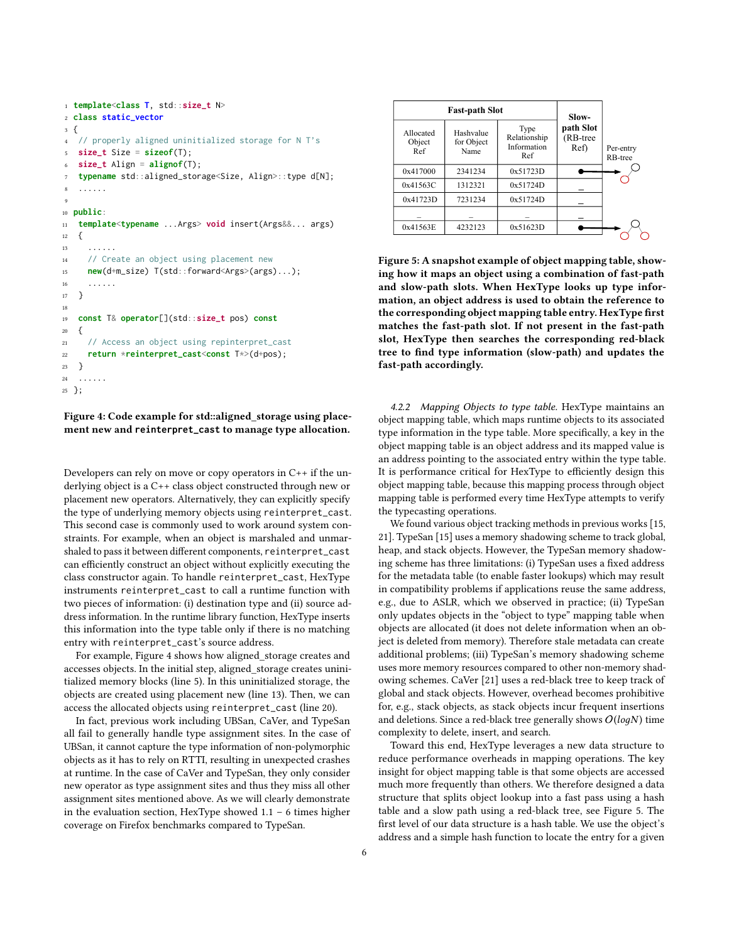```
1 template<class T, std::size_t N>
2 class static_vector
3 {
4 // properly aligned uninitialized storage for N T's
5 size_t Size = sizeof(T);
6 size_t Align = alignof(T);
7 typename std::aligned_storage<Size, Align>::type d[N];
 8 ......
 9
10 public:
11 template<typename ...Args> void insert(Args&&... args)
12 \frac{1}{2}13 ... \, . \, . \, . \, . \, .14 // Create an object using placement new
15 new(d+m_size) T(std::forward<Args>(args)...);
16 ......
17 }
18
19 const T& operator[](std::size_t pos) const
20 \{21 // Access an object using repinterpret_cast
22 return *reinterpret_cast<const T*>(d+pos);
23 }
24 ......
25 };
```
Figure 4: Code example for std::aligned\_storage using placement new and **reinterpret\_cast** to manage type allocation.

Developers can rely on move or copy operators in C++ if the underlying object is a C++ class object constructed through new or placement new operators. Alternatively, they can explicitly specify the type of underlying memory objects using reinterpret\_cast. This second case is commonly used to work around system constraints. For example, when an object is marshaled and unmarshaled to pass it between different components, reinterpret\_cast can efficiently construct an object without explicitly executing the class constructor again. To handle reinterpret\_cast, HexType instruments reinterpret\_cast to call a runtime function with two pieces of information: (i) destination type and (ii) source address information. In the runtime library function, HexType inserts this information into the type table only if there is no matching entry with reinterpret\_cast's source address.

For example, [Figure 4](#page-5-1) shows how aligned\_storage creates and accesses objects. In the initial step, aligned\_storage creates uninitialized memory blocks (line 5). In this uninitialized storage, the objects are created using placement new (line 13). Then, we can access the allocated objects using reinterpret\_cast (line 20).

<span id="page-5-0"></span>In fact, previous work including UBSan, CaVer, and TypeSan all fail to generally handle type assignment sites. In the case of UBSan, it cannot capture the type information of non-polymorphic objects as it has to rely on RTTI, resulting in unexpected crashes at runtime. In the case of CaVer and TypeSan, they only consider new operator as type assignment sites and thus they miss all other assignment sites mentioned above. As we will clearly demonstrate in the evaluation section, HexType showed 1.1 – 6 times higher coverage on Firefox benchmarks compared to TypeSan.

<span id="page-5-2"></span>

|                            | <b>Fast-path Slot</b>           | Slow-                                      |                                  |                                   |
|----------------------------|---------------------------------|--------------------------------------------|----------------------------------|-----------------------------------|
| Allocated<br>Object<br>Ref | Hashvalue<br>for Object<br>Name | Type<br>Relationship<br>Information<br>Ref | path Slot<br>$(RB-tree)$<br>Ref) | Per-entry<br>R <sub>B</sub> -tree |
| 0x417000                   | 2341234                         | 0x51723D                                   |                                  |                                   |
| 0x41563C                   | 1312321                         | 0x51724D                                   |                                  |                                   |
| 0x41723D                   | 7231234                         | 0x51724D                                   |                                  |                                   |
|                            |                                 |                                            |                                  |                                   |
| 0x41563E                   | 4232123                         | 0x51623D                                   |                                  |                                   |
|                            |                                 |                                            |                                  |                                   |

Figure 5: A snapshot example of object mapping table, showing how it maps an object using a combination of fast-path and slow-path slots. When HexType looks up type information, an object address is used to obtain the reference to the corresponding object mapping table entry. HexType first matches the fast-path slot. If not present in the fast-path slot, HexType then searches the corresponding red-black tree to find type information (slow-path) and updates the fast-path accordingly.

4.2.2 Mapping Objects to type table. HexType maintains an object mapping table, which maps runtime objects to its associated type information in the type table. More specifically, a key in the object mapping table is an object address and its mapped value is an address pointing to the associated entry within the type table. It is performance critical for HexType to efficiently design this object mapping table, because this mapping process through object mapping table is performed every time HexType attempts to verify the typecasting operations.

We found various object tracking methods in previous works [\[15,](#page-11-2) [21\]](#page-11-3). TypeSan [\[15\]](#page-11-2) uses a memory shadowing scheme to track global, heap, and stack objects. However, the TypeSan memory shadowing scheme has three limitations: (i) TypeSan uses a fixed address for the metadata table (to enable faster lookups) which may result in compatibility problems if applications reuse the same address, e.g., due to ASLR, which we observed in practice; (ii) TypeSan only updates objects in the "object to type" mapping table when objects are allocated (it does not delete information when an object is deleted from memory). Therefore stale metadata can create additional problems; (iii) TypeSan's memory shadowing scheme uses more memory resources compared to other non-memory shadowing schemes. CaVer [\[21\]](#page-11-3) uses a red-black tree to keep track of global and stack objects. However, overhead becomes prohibitive for, e.g., stack objects, as stack objects incur frequent insertions and deletions. Since a red-black tree generally shows  $O(logN)$  time complexity to delete, insert, and search.

Toward this end, HexType leverages a new data structure to reduce performance overheads in mapping operations. The key insight for object mapping table is that some objects are accessed much more frequently than others. We therefore designed a data structure that splits object lookup into a fast pass using a hash table and a slow path using a red-black tree, see [Figure 5.](#page-5-2) The first level of our data structure is a hash table. We use the object's address and a simple hash function to locate the entry for a given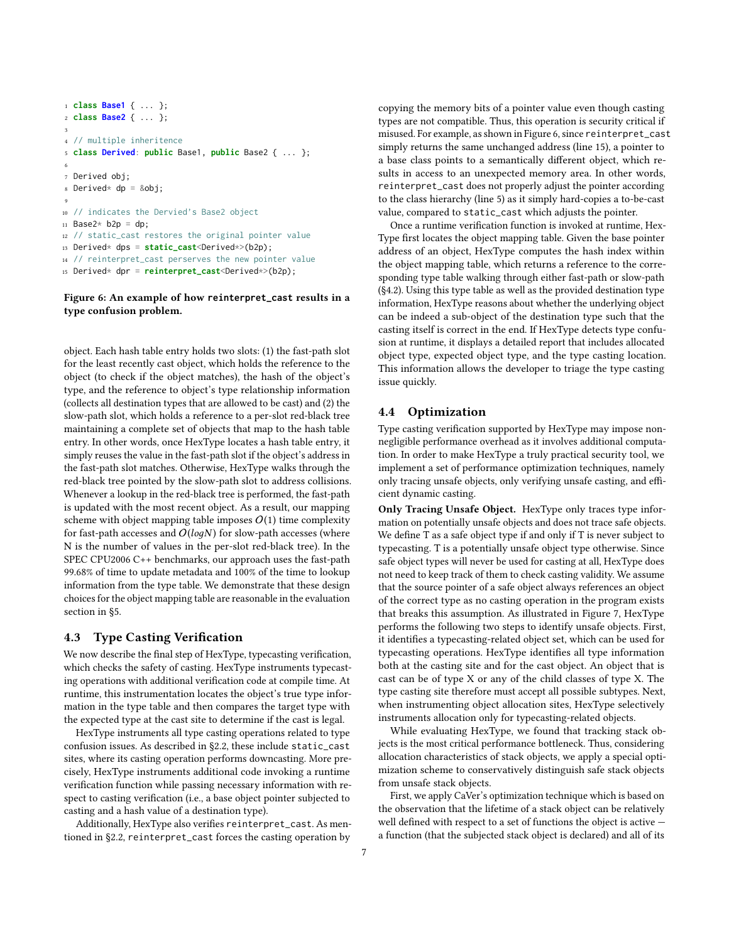```
1 class Base1 { ... };
2 class Base2 { ... };
 3
4 // multiple inheritence
5 class Derived: public Base1, public Base2 { ... };
 6
7 Derived obj;
s Derived* dp = &obj;
 9
10 // indicates the Dervied's Base2 object
11 Base2* b2p = dp;
12 // static_cast restores the original pointer value
13 Derived* dps = static_cast<Derived*>(b2p);
14 // reinterpret_cast perserves the new pointer value
15 Derived* dpr = reinterpret_cast<Derived*>(b2p);
```
#### Figure 6: An example of how **reinterpret\_cast** results in a type confusion problem.

object. Each hash table entry holds two slots: (1) the fast-path slot for the least recently cast object, which holds the reference to the object (to check if the object matches), the hash of the object's type, and the reference to object's type relationship information (collects all destination types that are allowed to be cast) and (2) the slow-path slot, which holds a reference to a per-slot red-black tree maintaining a complete set of objects that map to the hash table entry. In other words, once HexType locates a hash table entry, it simply reuses the value in the fast-path slot if the object's address in the fast-path slot matches. Otherwise, HexType walks through the red-black tree pointed by the slow-path slot to address collisions. Whenever a lookup in the red-black tree is performed, the fast-path is updated with the most recent object. As a result, our mapping scheme with object mapping table imposes  $O(1)$  time complexity for fast-path accesses and  $O(logN)$  for slow-path accesses (where N is the number of values in the per-slot red-black tree). In the SPEC CPU2006 C++ benchmarks, our approach uses the fast-path 99.68% of time to update metadata and 100% of the time to lookup information from the type table. We demonstrate that these design choices for the object mapping table are reasonable in the evaluation section in [§5.](#page-8-0)

## <span id="page-6-0"></span>4.3 Type Casting Verification

We now describe the final step of HexType, typecasting verification, which checks the safety of casting. HexType instruments typecasting operations with additional verification code at compile time. At runtime, this instrumentation locates the object's true type information in the type table and then compares the target type with the expected type at the cast site to determine if the cast is legal.

HexType instruments all type casting operations related to type confusion issues. As described in [§2.2,](#page-2-0) these include static\_cast sites, where its casting operation performs downcasting. More precisely, HexType instruments additional code invoking a runtime verification function while passing necessary information with respect to casting verification (i.e., a base object pointer subjected to casting and a hash value of a destination type).

Additionally, HexType also verifies reinterpret\_cast. As mentioned in [§2.2,](#page-2-0) reinterpret\_cast forces the casting operation by

copying the memory bits of a pointer value even though casting types are not compatible. Thus, this operation is security critical if misused. For example, as shown in [Figure 6,](#page-6-2) since reinterpret\_cast simply returns the same unchanged address (line 15), a pointer to a base class points to a semantically different object, which results in access to an unexpected memory area. In other words, reinterpret\_cast does not properly adjust the pointer according to the class hierarchy (line 5) as it simply hard-copies a to-be-cast value, compared to static\_cast which adjusts the pointer.

Once a runtime verification function is invoked at runtime, Hex-Type first locates the object mapping table. Given the base pointer address of an object, HexType computes the hash index within the object mapping table, which returns a reference to the corresponding type table walking through either fast-path or slow-path [\(§4.2\)](#page-4-1). Using this type table as well as the provided destination type information, HexType reasons about whether the underlying object can be indeed a sub-object of the destination type such that the casting itself is correct in the end. If HexType detects type confusion at runtime, it displays a detailed report that includes allocated object type, expected object type, and the type casting location. This information allows the developer to triage the type casting issue quickly.

## <span id="page-6-1"></span>4.4 Optimization

Type casting verification supported by HexType may impose nonnegligible performance overhead as it involves additional computation. In order to make HexType a truly practical security tool, we implement a set of performance optimization techniques, namely only tracing unsafe objects, only verifying unsafe casting, and efficient dynamic casting.

Only Tracing Unsafe Object. HexType only traces type information on potentially unsafe objects and does not trace safe objects. We define  $T$  as a safe object type if and only if  $T$  is never subject to typecasting. T is a potentially unsafe object type otherwise. Since safe object types will never be used for casting at all, HexType does not need to keep track of them to check casting validity. We assume that the source pointer of a safe object always references an object of the correct type as no casting operation in the program exists that breaks this assumption. As illustrated in [Figure 7,](#page-7-0) HexType performs the following two steps to identify unsafe objects. First, it identifies a typecasting-related object set, which can be used for typecasting operations. HexType identifies all type information both at the casting site and for the cast object. An object that is cast can be of type X or any of the child classes of type X. The type casting site therefore must accept all possible subtypes. Next, when instrumenting object allocation sites, HexType selectively instruments allocation only for typecasting-related objects.

While evaluating HexType, we found that tracking stack objects is the most critical performance bottleneck. Thus, considering allocation characteristics of stack objects, we apply a special optimization scheme to conservatively distinguish safe stack objects from unsafe stack objects.

First, we apply CaVer's optimization technique which is based on the observation that the lifetime of a stack object can be relatively well defined with respect to a set of functions the object is active  $$ a function (that the subjected stack object is declared) and all of its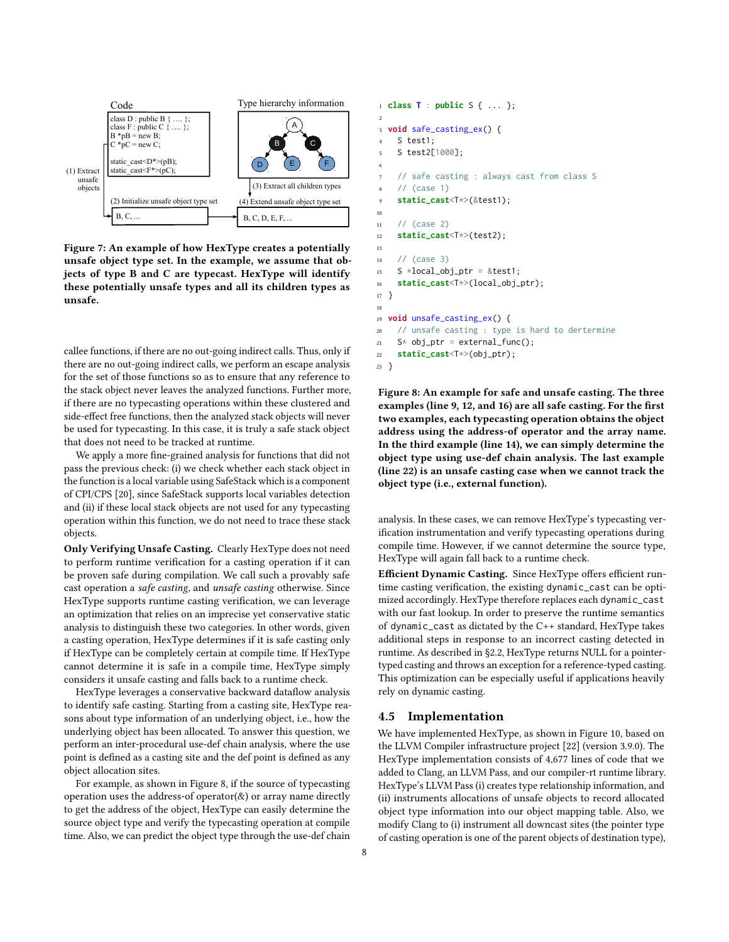<span id="page-7-0"></span>

Figure 7: An example of how HexType creates a potentially unsafe object type set. In the example, we assume that objects of type B and C are typecast. HexType will identify these potentially unsafe types and all its children types as unsafe.

callee functions, if there are no out-going indirect calls. Thus, only if there are no out-going indirect calls, we perform an escape analysis for the set of those functions so as to ensure that any reference to the stack object never leaves the analyzed functions. Further more, if there are no typecasting operations within these clustered and side-effect free functions, then the analyzed stack objects will never be used for typecasting. In this case, it is truly a safe stack object that does not need to be tracked at runtime.

We apply a more fine-grained analysis for functions that did not pass the previous check: (i) we check whether each stack object in the function is a local variable using SafeStack which is a component of CPI/CPS [\[20\]](#page-11-4), since SafeStack supports local variables detection and (ii) if these local stack objects are not used for any typecasting operation within this function, we do not need to trace these stack objects.

Only Verifying Unsafe Casting. Clearly HexType does not need to perform runtime verification for a casting operation if it can be proven safe during compilation. We call such a provably safe cast operation a safe casting, and unsafe casting otherwise. Since HexType supports runtime casting verification, we can leverage an optimization that relies on an imprecise yet conservative static analysis to distinguish these two categories. In other words, given a casting operation, HexType determines if it is safe casting only if HexType can be completely certain at compile time. If HexType cannot determine it is safe in a compile time, HexType simply considers it unsafe casting and falls back to a runtime check.

HexType leverages a conservative backward dataflow analysis to identify safe casting. Starting from a casting site, HexType reasons about type information of an underlying object, i.e., how the underlying object has been allocated. To answer this question, we perform an inter-procedural use-def chain analysis, where the use point is defined as a casting site and the def point is defined as any object allocation sites.

For example, as shown in [Figure 8,](#page-7-1) if the source of typecasting operation uses the address-of operator( $\&$ ) or array name directly to get the address of the object, HexType can easily determine the source object type and verify the typecasting operation at compile time. Also, we can predict the object type through the use-def chain

```
1 class T : public S { ... };
2
3 void safe_casting_ex() {
4 S test1;
5 S test2[1000];
6
7 // safe casting : always cast from class S
8 // (case 1)
9 static_cast<T*>(&test1);
10
11 / / (case 2)12 static_cast<T*>(test2);
13
14 // (case 3)
15 S *local_obj_ptr = &test1;
16 static_cast<T*>(local_obj_ptr);
17 }
18
19 void unsafe_casting_ex() {
20 // unsafe casting : type is hard to dertermine
21 S* obj_ptr = external_func();
22 static_cast<T*>(obj_ptr);
23 }
```
Figure 8: An example for safe and unsafe casting. The three examples (line 9, 12, and 16) are all safe casting. For the first two examples, each typecasting operation obtains the object address using the address-of operator and the array name. In the third example (line 14), we can simply determine the object type using use-def chain analysis. The last example (line 22) is an unsafe casting case when we cannot track the object type (i.e., external function).

analysis. In these cases, we can remove HexType's typecasting verification instrumentation and verify typecasting operations during compile time. However, if we cannot determine the source type, HexType will again fall back to a runtime check.

Efficient Dynamic Casting. Since HexType offers efficient runtime casting verification, the existing dynamic\_cast can be optimized accordingly. HexType therefore replaces each dynamic\_cast with our fast lookup. In order to preserve the runtime semantics of dynamic\_cast as dictated by the C++ standard, HexType takes additional steps in response to an incorrect casting detected in runtime. As described in [§2.2,](#page-2-0) HexType returns NULL for a pointertyped casting and throws an exception for a reference-typed casting. This optimization can be especially useful if applications heavily rely on dynamic casting.

## 4.5 Implementation

We have implemented HexType, as shown in [Figure 10,](#page-8-1) based on the LLVM Compiler infrastructure project [\[22\]](#page-12-9) (version 3.9.0). The HexType implementation consists of 4,677 lines of code that we added to Clang, an LLVM Pass, and our compiler-rt runtime library. HexType's LLVM Pass (i) creates type relationship information, and (ii) instruments allocations of unsafe objects to record allocated object type information into our object mapping table. Also, we modify Clang to (i) instrument all downcast sites (the pointer type of casting operation is one of the parent objects of destination type),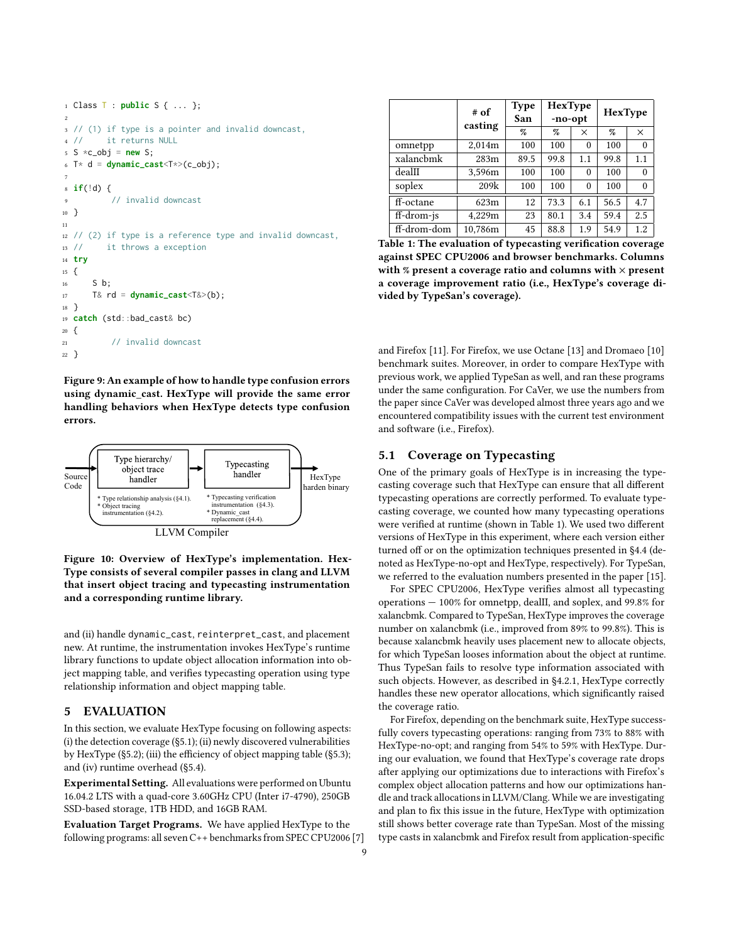```
1 Class T : public S { ... };
2
3 // (1) if type is a pointer and invalid downcast,
4 // it returns NULL
5 S \times c\_obj = new S;6 T* d = dynamic_cast<T*>(c_obj);
 7
8 if(!d) {
9 // invalid downcast
10 }
11
12 // (2) if type is a reference type and invalid downcast,
13 // it throws a exception
14 try
15 \quad16 S b;
17 T& rd = dynamic_cast<T&>(b);
18 }
19 catch (std::bad_cast& bc)
20 \frac{2}{3}21 // invalid downcast
22 }
```
Figure 9: An example of how to handle type confusion errors using dynamic\_cast. HexType will provide the same error handling behaviors when HexType detects type confusion errors.

<span id="page-8-1"></span>

Figure 10: Overview of HexType's implementation. Hex-Type consists of several compiler passes in clang and LLVM that insert object tracing and typecasting instrumentation and a corresponding runtime library.

and (ii) handle dynamic\_cast, reinterpret\_cast, and placement new. At runtime, the instrumentation invokes HexType's runtime library functions to update object allocation information into object mapping table, and verifies typecasting operation using type relationship information and object mapping table.

#### <span id="page-8-0"></span>5 EVALUATION

In this section, we evaluate HexType focusing on following aspects: (i) the detection coverage [\(§5.1\)](#page-8-2); (ii) newly discovered vulnerabilities by HexType  $(\S 5.2)$ ; (iii) the efficiency of object mapping table  $(\S 5.3)$ ; and (iv) runtime overhead [\(§5.4\)](#page-10-0).

Experimental Setting. All evaluations were performed on Ubuntu 16.04.2 LTS with a quad-core 3.60GHz CPU (Inter i7-4790), 250GB SSD-based storage, 1TB HDD, and 16GB RAM.

Evaluation Target Programs. We have applied HexType to the following programs: all seven C++ benchmarks from SPEC CPU2006 [\[7\]](#page-11-8)

<span id="page-8-3"></span>

|             | # of<br>casting | <b>Type</b><br>San | HexType<br>-no-opt |              | HexType |                  |
|-------------|-----------------|--------------------|--------------------|--------------|---------|------------------|
|             |                 | %                  | %                  | $\times$     | $\%$    | $\times$         |
| omnetpp     | 2,014m          | 100                | 100                | $\theta$     | 100     | $\theta$         |
| xalancbmk   | 283m            | 89.5               | 99.8               | 1.1          | 99.8    | 1.1              |
| dealII      | 3,596m          | 100                | 100                | $\mathbf{0}$ | 100     | $\boldsymbol{0}$ |
| soplex      | 209k            | 100                | 100                | $\theta$     | 100     | $\theta$         |
| ff-octane   | 623m            | 12                 | 73.3               | 6.1          | 56.5    | 4.7              |
| ff-drom-js  | 4.229m          | 23                 | 80.1               | 3.4          | 59.4    | 2.5              |
| ff-drom-dom | 10,786m         | 45                 | 88.8               | 1.9          | 54.9    | 1.2              |

Table 1: The evaluation of typecasting verification coverage against SPEC CPU2006 and browser benchmarks. Columns with % present a coverage ratio and columns with  $\times$  present a coverage improvement ratio (i.e., HexType's coverage divided by TypeSan's coverage).

and Firefox [\[11\]](#page-11-9). For Firefox, we use Octane [\[13\]](#page-11-10) and Dromaeo [\[10\]](#page-11-11) benchmark suites. Moreover, in order to compare HexType with previous work, we applied TypeSan as well, and ran these programs under the same configuration. For CaVer, we use the numbers from the paper since CaVer was developed almost three years ago and we encountered compatibility issues with the current test environment and software (i.e., Firefox).

## <span id="page-8-2"></span>5.1 Coverage on Typecasting

One of the primary goals of HexType is in increasing the typecasting coverage such that HexType can ensure that all different typecasting operations are correctly performed. To evaluate typecasting coverage, we counted how many typecasting operations were verified at runtime (shown in [Table 1\)](#page-8-3). We used two different versions of HexType in this experiment, where each version either turned off or on the optimization techniques presented in [§4.4](#page-6-1) (denoted as HexType-no-opt and HexType, respectively). For TypeSan, we referred to the evaluation numbers presented in the paper [\[15\]](#page-11-2).

For SPEC CPU2006, HexType verifies almost all typecasting operations — 100% for omnetpp, dealII, and soplex, and 99.8% for xalancbmk. Compared to TypeSan, HexType improves the coverage number on xalancbmk (i.e., improved from 89% to 99.8%). This is because xalancbmk heavily uses placement new to allocate objects, for which TypeSan looses information about the object at runtime. Thus TypeSan fails to resolve type information associated with such objects. However, as described in [§4.2.1,](#page-4-2) HexType correctly handles these new operator allocations, which significantly raised the coverage ratio.

For Firefox, depending on the benchmark suite, HexType successfully covers typecasting operations: ranging from 73% to 88% with HexType-no-opt; and ranging from 54% to 59% with HexType. During our evaluation, we found that HexType's coverage rate drops after applying our optimizations due to interactions with Firefox's complex object allocation patterns and how our optimizations handle and track allocations in LLVM/Clang. While we are investigating and plan to fix this issue in the future, HexType with optimization still shows better coverage rate than TypeSan. Most of the missing type casts in xalancbmk and Firefox result from application-specific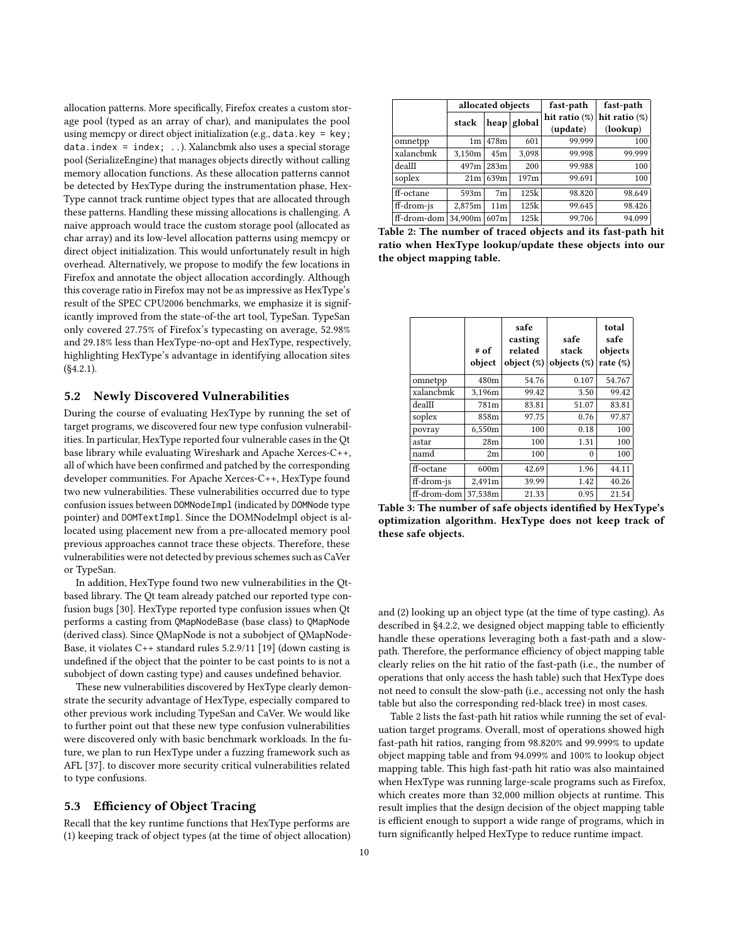allocation patterns. More specifically, Firefox creates a custom storage pool (typed as an array of char), and manipulates the pool using memcpy or direct object initialization (e.g., data.key = key; data.index = index; ..). Xalancbmk also uses a special storage pool (SerializeEngine) that manages objects directly without calling memory allocation functions. As these allocation patterns cannot be detected by HexType during the instrumentation phase, Hex-Type cannot track runtime object types that are allocated through these patterns. Handling these missing allocations is challenging. A naive approach would trace the custom storage pool (allocated as char array) and its low-level allocation patterns using memcpy or direct object initialization. This would unfortunately result in high overhead. Alternatively, we propose to modify the few locations in Firefox and annotate the object allocation accordingly. Although this coverage ratio in Firefox may not be as impressive as HexType's result of the SPEC CPU2006 benchmarks, we emphasize it is significantly improved from the state-of-the art tool, TypeSan. TypeSan only covered 27.75% of Firefox's typecasting on average, 52.98% and 29.18% less than HexType-no-opt and HexType, respectively, highlighting HexType's advantage in identifying allocation sites  $(S4.2.1)$ .

#### <span id="page-9-0"></span>5.2 Newly Discovered Vulnerabilities

During the course of evaluating HexType by running the set of target programs, we discovered four new type confusion vulnerabilities. In particular, HexType reported four vulnerable cases in the Qt base library while evaluating Wireshark and Apache Xerces-C++, all of which have been confirmed and patched by the corresponding developer communities. For Apache Xerces-C++, HexType found two new vulnerabilities. These vulnerabilities occurred due to type confusion issues between DOMNodeImpl (indicated by DOMNode type pointer) and DOMTextImpl. Since the DOMNodeImpl object is allocated using placement new from a pre-allocated memory pool previous approaches cannot trace these objects. Therefore, these vulnerabilities were not detected by previous schemes such as CaVer or TypeSan.

In addition, HexType found two new vulnerabilities in the Qtbased library. The Qt team already patched our reported type confusion bugs [\[30\]](#page-12-10). HexType reported type confusion issues when Qt performs a casting from QMapNodeBase (base class) to QMapNode (derived class). Since QMapNode is not a subobject of QMapNode-Base, it violates C++ standard rules 5.2.9/11 [\[19\]](#page-11-6) (down casting is undefined if the object that the pointer to be cast points to is not a subobject of down casting type) and causes undefined behavior.

These new vulnerabilities discovered by HexType clearly demonstrate the security advantage of HexType, especially compared to other previous work including TypeSan and CaVer. We would like to further point out that these new type confusion vulnerabilities were discovered only with basic benchmark workloads. In the future, we plan to run HexType under a fuzzing framework such as AFL [\[37\]](#page-12-11). to discover more security critical vulnerabilities related to type confusions.

# <span id="page-9-1"></span>5.3 Efficiency of Object Tracing

Recall that the key runtime functions that HexType performs are (1) keeping track of object types (at the time of object allocation)

<span id="page-9-2"></span>

|             | allocated objects |                 |        | fast-path        | fast-path        |
|-------------|-------------------|-----------------|--------|------------------|------------------|
|             | stack             | heap            | global | hit ratio $(\%)$ | hit ratio $(\%)$ |
|             |                   |                 |        | (update)         | (lookup)         |
| omnetpp     | 1m                | 478m            | 601    | 99.999           | 100              |
| xalancbmk   | 3,150m            | 45m             | 3,098  | 99.998           | 99.999           |
| dealII      | 497m              | 283m            | 200    | 99.988           | 100              |
| soplex      | 21 <sub>m</sub>   | 639m            | 197m   | 99.691           | 100              |
| ff-octane   | 593m              | 7 <sub>m</sub>  | 125k   | 98.820           | 98.649           |
| ff-drom-js  | 2,875m            | 11 <sub>m</sub> | 125k   | 99.645           | 98.426           |
| ff-drom-dom | 34.900m           | 607m            | 125k   | 99.706           | 94.099           |

Table 2: The number of traced objects and its fast-path hit ratio when HexType lookup/update these objects into our the object mapping table.

<span id="page-9-3"></span>

|             | # of<br>object | safe<br>casting<br>related<br>object $(\%)$ | safe<br>stack<br>objects $(\%)$ | total<br>safe<br>objects<br>rate $(\%)$ |
|-------------|----------------|---------------------------------------------|---------------------------------|-----------------------------------------|
| omnetpp     | 480m           | 54.76                                       | 0.107                           | 54.767                                  |
| xalancbmk   | 3,196m         | 99.42                                       | 3.50                            | 99.42                                   |
| dealII      | 781m           | 83.81                                       | 51.07                           | 83.81                                   |
| soplex      | 858m           | 97.75                                       | 0.76                            | 97.87                                   |
| povray      | 6,550m         | 100                                         | 0.18                            | 100                                     |
| astar       | 28m            | 100                                         | 1.31                            | 100                                     |
| namd        | 2m             | 100                                         | 0                               | 100                                     |
| ff-octane   | 600m           | 42.69                                       | 1.96                            | 44.11                                   |
| ff-drom-js  | 2,491m         | 39.99                                       | 1.42                            | 40.26                                   |
| ff-drom-dom | 37,538m        | 21.33                                       | 0.95                            | 21.54                                   |

Table 3: The number of safe objects identified by HexType's optimization algorithm. HexType does not keep track of these safe objects.

and (2) looking up an object type (at the time of type casting). As described in [§4.2.2,](#page-5-0) we designed object mapping table to efficiently handle these operations leveraging both a fast-path and a slowpath. Therefore, the performance efficiency of object mapping table clearly relies on the hit ratio of the fast-path (i.e., the number of operations that only access the hash table) such that HexType does not need to consult the slow-path (i.e., accessing not only the hash table but also the corresponding red-black tree) in most cases.

[Table 2](#page-9-2) lists the fast-path hit ratios while running the set of evaluation target programs. Overall, most of operations showed high fast-path hit ratios, ranging from 98.820% and 99.999% to update object mapping table and from 94.099% and 100% to lookup object mapping table. This high fast-path hit ratio was also maintained when HexType was running large-scale programs such as Firefox, which creates more than 32,000 million objects at runtime. This result implies that the design decision of the object mapping table is efficient enough to support a wide range of programs, which in turn significantly helped HexType to reduce runtime impact.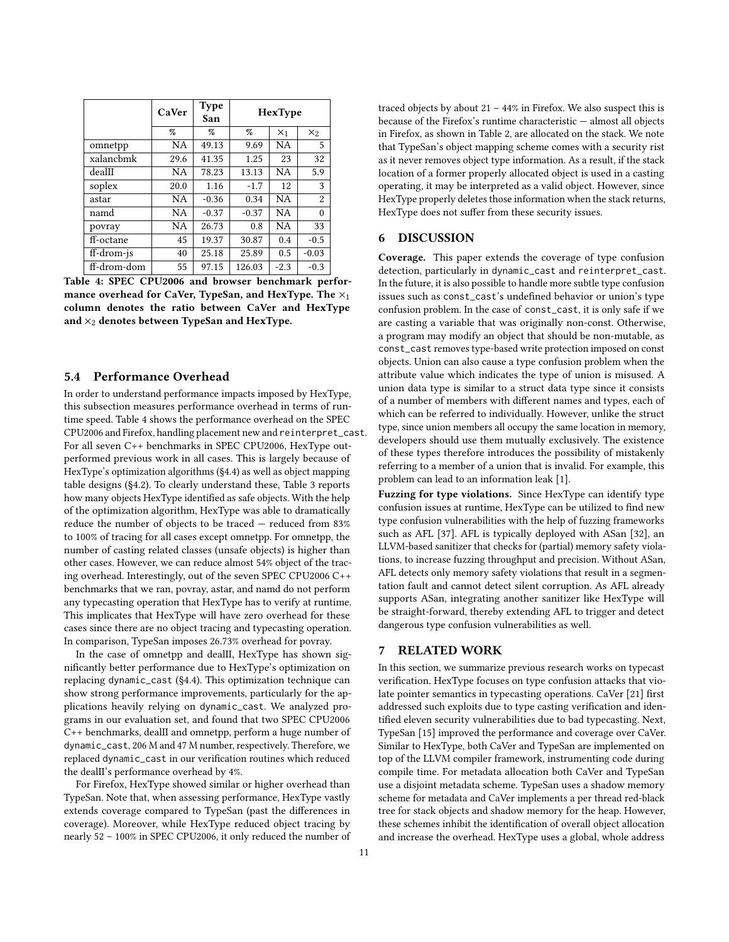<span id="page-10-1"></span>

|             | CaVer | <b>Type</b><br>San | HexType |           |                |
|-------------|-------|--------------------|---------|-----------|----------------|
|             | $\%$  | %                  | %       | $X_1$     | $x_2$          |
| omnetpp     | NA    | 49.13              | 9.69    | <b>NA</b> | 5              |
| xalanchmk   | 29.6  | 41.35              | 1.25    | 23        | 32             |
| dealII      | NA    | 78.23              | 13.13   | <b>NA</b> | 5.9            |
| soplex      | 20.0  | 1.16               | $-1.7$  | 12        | 3              |
| astar       | NA.   | $-0.36$            | 0.34    | <b>NA</b> | $\overline{2}$ |
| namd        | NA    | $-0.37$            | $-0.37$ | <b>NA</b> | $\theta$       |
| povray      | NA    | 26.73              | 0.8     | <b>NA</b> | 33             |
| ff-octane   | 45    | 19.37              | 30.87   | 0.4       | $-0.5$         |
| ff-drom-js  | 40    | 25.18              | 25.89   | 0.5       | $-0.03$        |
| ff-drom-dom | 55    | 97.15              | 126.03  | $-2.3$    | $-0.3$         |

Table 4: SPEC CPU2006 and browser benchmark performance overhead for CaVer, TypeSan, and HexType. The  $\times_1$ column denotes the ratio between CaVer and HexType and  $\times_2$  denotes between TypeSan and HexType.

#### <span id="page-10-0"></span>5.4 Performance Overhead

In order to understand performance impacts imposed by HexType, this subsection measures performance overhead in terms of runtime speed. [Table 4](#page-10-1) shows the performance overhead on the SPEC CPU2006 and Firefox, handling placement new and reinterpret\_cast. For all seven C++ benchmarks in SPEC CPU2006, HexType outperformed previous work in all cases. This is largely because of HexType's optimization algorithms [\(§4.4\)](#page-6-1) as well as object mapping table designs [\(§4.2\)](#page-4-1). To clearly understand these, [Table 3](#page-9-3) reports how many objects HexType identified as safe objects. With the help of the optimization algorithm, HexType was able to dramatically reduce the number of objects to be traced — reduced from 83% to 100% of tracing for all cases except omnetpp. For omnetpp, the number of casting related classes (unsafe objects) is higher than other cases. However, we can reduce almost 54% object of the tracing overhead. Interestingly, out of the seven SPEC CPU2006 C++ benchmarks that we ran, povray, astar, and namd do not perform any typecasting operation that HexType has to verify at runtime. This implicates that HexType will have zero overhead for these cases since there are no object tracing and typecasting operation. In comparison, TypeSan imposes 26.73% overhead for povray.

In the case of omnetpp and dealII, HexType has shown significantly better performance due to HexType's optimization on replacing dynamic\_cast [\(§4.4\)](#page-6-1). This optimization technique can show strong performance improvements, particularly for the applications heavily relying on dynamic\_cast. We analyzed programs in our evaluation set, and found that two SPEC CPU2006 C++ benchmarks, dealII and omnetpp, perform a huge number of dynamic\_cast, 206 M and 47 M number, respectively. Therefore, we replaced dynamic\_cast in our verification routines which reduced the dealII's performance overhead by 4%.

For Firefox, HexType showed similar or higher overhead than TypeSan. Note that, when assessing performance, HexType vastly extends coverage compared to TypeSan (past the differences in coverage). Moreover, while HexType reduced object tracing by nearly 52 – 100% in SPEC CPU2006, it only reduced the number of traced objects by about  $21 - 44\%$  in Firefox. We also suspect this is because of the Firefox's runtime characteristic — almost all objects in Firefox, as shown in [Table 2,](#page-9-2) are allocated on the stack. We note that TypeSan's object mapping scheme comes with a security rist as it never removes object type information. As a result, if the stack location of a former properly allocated object is used in a casting operating, it may be interpreted as a valid object. However, since HexType properly deletes those information when the stack returns, HexType does not suffer from these security issues.

#### 6 DISCUSSION

Coverage. This paper extends the coverage of type confusion detection, particularly in dynamic\_cast and reinterpret\_cast. In the future, it is also possible to handle more subtle type confusion issues such as const\_cast's undefined behavior or union's type confusion problem. In the case of const\_cast, it is only safe if we are casting a variable that was originally non-const. Otherwise, a program may modify an object that should be non-mutable, as const\_cast removes type-based write protection imposed on const objects. Union can also cause a type confusion problem when the attribute value which indicates the type of union is misused. A union data type is similar to a struct data type since it consists of a number of members with different names and types, each of which can be referred to individually. However, unlike the struct type, since union members all occupy the same location in memory, developers should use them mutually exclusively. The existence of these types therefore introduces the possibility of mistakenly referring to a member of a union that is invalid. For example, this problem can lead to an information leak [\[1\]](#page-11-12).

Fuzzing for type violations. Since HexType can identify type confusion issues at runtime, HexType can be utilized to find new type confusion vulnerabilities with the help of fuzzing frameworks such as AFL [\[37\]](#page-12-11). AFL is typically deployed with ASan [\[32\]](#page-12-6), an LLVM-based sanitizer that checks for (partial) memory safety violations, to increase fuzzing throughput and precision. Without ASan, AFL detects only memory safety violations that result in a segmentation fault and cannot detect silent corruption. As AFL already supports ASan, integrating another sanitizer like HexType will be straight-forward, thereby extending AFL to trigger and detect dangerous type confusion vulnerabilities as well.

#### 7 RELATED WORK

In this section, we summarize previous research works on typecast verification. HexType focuses on type confusion attacks that vio-late pointer semantics in typecasting operations. CaVer [\[21\]](#page-11-3) first addressed such exploits due to type casting verification and identified eleven security vulnerabilities due to bad typecasting. Next, TypeSan [\[15\]](#page-11-2) improved the performance and coverage over CaVer. Similar to HexType, both CaVer and TypeSan are implemented on top of the LLVM compiler framework, instrumenting code during compile time. For metadata allocation both CaVer and TypeSan use a disjoint metadata scheme. TypeSan uses a shadow memory scheme for metadata and CaVer implements a per thread red-black tree for stack objects and shadow memory for the heap. However, these schemes inhibit the identification of overall object allocation and increase the overhead. HexType uses a global, whole address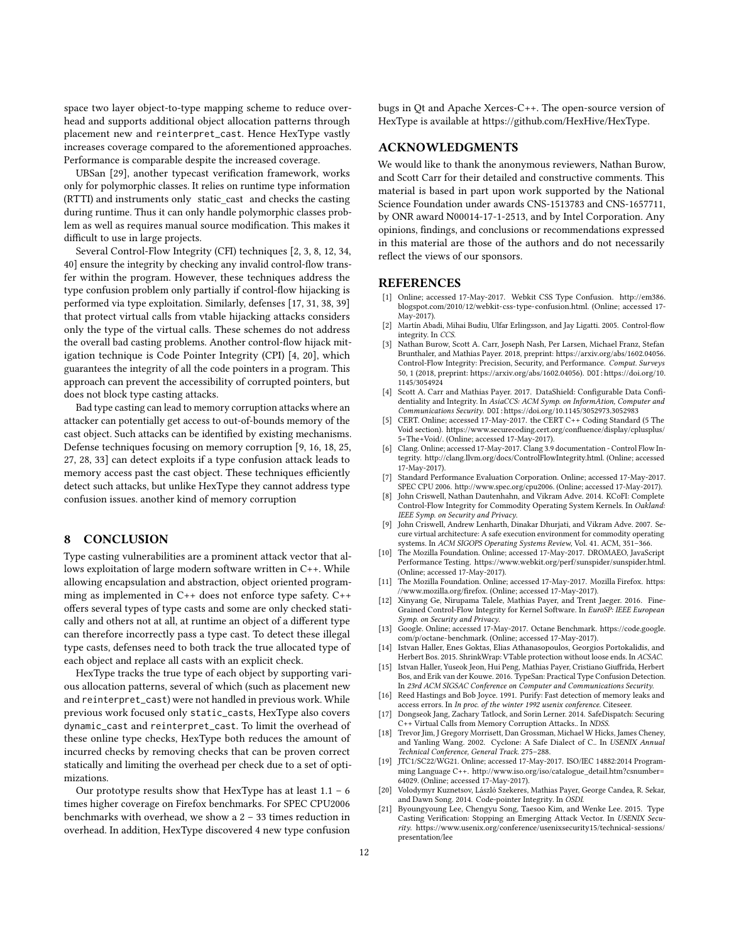space two layer object-to-type mapping scheme to reduce overhead and supports additional object allocation patterns through placement new and reinterpret\_cast. Hence HexType vastly increases coverage compared to the aforementioned approaches. Performance is comparable despite the increased coverage.

UBSan [\[29\]](#page-12-0), another typecast verification framework, works only for polymorphic classes. It relies on runtime type information (RTTI) and instruments only static\_cast and checks the casting during runtime. Thus it can only handle polymorphic classes problem as well as requires manual source modification. This makes it difficult to use in large projects.

Several Control-Flow Integrity (CFI) techniques [\[2,](#page-11-13) [3,](#page-11-14) [8,](#page-11-15) [12,](#page-11-16) [34,](#page-12-2) [40\]](#page-12-12) ensure the integrity by checking any invalid control-flow transfer within the program. However, these techniques address the type confusion problem only partially if control-flow hijacking is performed via type exploitation. Similarly, defenses [\[17,](#page-11-17) [31,](#page-12-13) [38,](#page-12-1) [39\]](#page-12-14) that protect virtual calls from vtable hijacking attacks considers only the type of the virtual calls. These schemes do not address the overall bad casting problems. Another control-flow hijack mitigation technique is Code Pointer Integrity (CPI) [\[4,](#page-11-18) [20\]](#page-11-4), which guarantees the integrity of all the code pointers in a program. This approach can prevent the accessibility of corrupted pointers, but does not block type casting attacks.

Bad type casting can lead to memory corruption attacks where an attacker can potentially get access to out-of-bounds memory of the cast object. Such attacks can be identified by existing mechanisms. Defense techniques focusing on memory corruption [\[9,](#page-11-19) [16,](#page-11-20) [18,](#page-11-7) [25,](#page-12-8) [27,](#page-12-15) [28,](#page-12-16) [33\]](#page-12-17) can detect exploits if a type confusion attack leads to memory access past the cast object. These techniques efficiently detect such attacks, but unlike HexType they cannot address type confusion issues. another kind of memory corruption

## 8 CONCLUSION

Type casting vulnerabilities are a prominent attack vector that allows exploitation of large modern software written in C++. While allowing encapsulation and abstraction, object oriented programming as implemented in C++ does not enforce type safety. C++ offers several types of type casts and some are only checked statically and others not at all, at runtime an object of a different type can therefore incorrectly pass a type cast. To detect these illegal type casts, defenses need to both track the true allocated type of each object and replace all casts with an explicit check.

HexType tracks the true type of each object by supporting various allocation patterns, several of which (such as placement new and reinterpret\_cast) were not handled in previous work. While previous work focused only static\_casts, HexType also covers dynamic\_cast and reinterpret\_cast. To limit the overhead of these online type checks, HexType both reduces the amount of incurred checks by removing checks that can be proven correct statically and limiting the overhead per check due to a set of optimizations.

Our prototype results show that HexType has at least  $1.1 - 6$ times higher coverage on Firefox benchmarks. For SPEC CPU2006 benchmarks with overhead, we show a 2 – 33 times reduction in overhead. In addition, HexType discovered 4 new type confusion bugs in Qt and Apache Xerces-C++. The open-source version of HexType is available at [https://github.com/HexHive/HexType.](https://github.com/HexHive/HexType)

# ACKNOWLEDGMENTS

We would like to thank the anonymous reviewers, Nathan Burow, and Scott Carr for their detailed and constructive comments. This material is based in part upon work supported by the National Science Foundation under awards CNS-1513783 and CNS-1657711, by ONR award N00014-17-1-2513, and by Intel Corporation. Any opinions, findings, and conclusions or recommendations expressed in this material are those of the authors and do not necessarily reflect the views of our sponsors.

#### REFERENCES

- <span id="page-11-12"></span>[1] Online; accessed 17-May-2017. Webkit CSS Type Confusion. [http://em386.](http://em386.blogspot.com/2010/12/webkit-css-type-confusion.html) [blogspot.com/2010/12/webkit-css-type-confusion.html.](http://em386.blogspot.com/2010/12/webkit-css-type-confusion.html) (Online; accessed 17- May-2017).
- <span id="page-11-13"></span>[2] Martín Abadi, Mihai Budiu, Ulfar Erlingsson, and Jay Ligatti. 2005. Control-flow integrity. In CCS.
- <span id="page-11-14"></span>[3] Nathan Burow, Scott A. Carr, Joseph Nash, Per Larsen, Michael Franz, Stefan Brunthaler, and Mathias Payer. 2018, preprint: [https://arxiv.org/abs/1602.04056.](https://arxiv.org/abs/1602.04056) Control-Flow Integrity: Precision, Security, and Performance. Comput. Surveys 50, 1 (2018, preprint: [https://arxiv.org/abs/1602.04056\)](https://arxiv.org/abs/1602.04056). DOI:[https://doi.org/10.](https://doi.org/10.1145/3054924) [1145/3054924](https://doi.org/10.1145/3054924)
- <span id="page-11-18"></span>[4] Scott A. Carr and Mathias Payer. 2017. DataShield: Configurable Data Confidentiality and Integrity. In AsiaCCS: ACM Symp. on InformAtion, Computer and Communications Security. DOI:<https://doi.org/10.1145/3052973.3052983>
- <span id="page-11-5"></span>CERT. Online; accessed 17-May-2017. the CERT C++ Coding Standard (5 The Void section). https://www.securecoding.cert.org/confluence/display/cplusplus/ [5+The+Void/.](https://www.securecoding.cert.org/confluence/display/cplusplus/5+The+Void/) (Online; accessed 17-May-2017).
- <span id="page-11-0"></span>[6] Clang. Online; accessed 17-May-2017. Clang 3.9 documentation - Control Flow Integrity. [http://clang.llvm.org/docs/ControlFlowIntegrity.html.](http://clang.llvm.org/docs/ControlFlowIntegrity.html) (Online; accessed 17-May-2017).
- <span id="page-11-8"></span>[7] Standard Performance Evaluation Corporation. Online; accessed 17-May-2017.
- <span id="page-11-15"></span>SPEC CPU 2006. [http://www.spec.org/cpu2006.](http://www.spec.org/cpu2006) (Online; accessed 17-May-2017). [8] John Criswell, Nathan Dautenhahn, and Vikram Adve. 2014. KCoFI: Complete Control-Flow Integrity for Commodity Operating System Kernels. In Oakland: IEEE Symp. on Security and Privacy.
- <span id="page-11-19"></span>[9] John Criswell, Andrew Lenharth, Dinakar Dhurjati, and Vikram Adve. 2007. Secure virtual architecture: A safe execution environment for commodity operating systems. In ACM SIGOPS Operating Systems Review, Vol. 41. ACM, 351–366.
- <span id="page-11-11"></span>[10] The Mozilla Foundation. Online; accessed 17-May-2017. DROMAEO, JavaScript Performance Testing. [https://www.webkit.org/perf/sunspider/sunspider.html.](https://www.webkit.org/perf/sunspider/sunspider.html) (Online; accessed 17-May-2017).
- <span id="page-11-9"></span>[11] The Mozilla Foundation. Online; accessed 17-May-2017. Mozilla Firefox. [https:](https://www.mozilla.org/firefox) //www.mozilla.org/firefox. (Online; accessed 17-May-2017).
- <span id="page-11-16"></span>[12] Xinyang Ge, Nirupama Talele, Mathias Payer, and Trent Jaeger, 2016. Fine-Grained Control-Flow Integrity for Kernel Software. In EuroSP: IEEE European Symp. on Security and Privacy.
- <span id="page-11-10"></span>[13] Google. Online; accessed 17-May-2017. Octane Benchmark. [https://code.google.](https://code.google.com/p/octane-benchmark) [com/p/octane-benchmark.](https://code.google.com/p/octane-benchmark) (Online; accessed 17-May-2017).
- <span id="page-11-1"></span>[14] Istvan Haller, Enes Goktas, Elias Athanasopoulos, Georgios Portokalidis, and Herbert Bos. 2015. ShrinkWrap: VTable protection without loose ends. In ACSAC.
- <span id="page-11-2"></span>[15] Istvan Haller, Yuseok Jeon, Hui Peng, Mathias Payer, Cristiano Giurida, Herbert Bos, and Erik van der Kouwe. 2016. TypeSan: Practical Type Confusion Detection. In 23rd ACM SIGSAC Conference on Computer and Communications Security.
- <span id="page-11-20"></span>[16] Reed Hastings and Bob Joyce. 1991. Purify: Fast detection of memory leaks and access errors. In In proc. of the winter 1992 usenix conference. Citeseer.
- <span id="page-11-17"></span>[17] Dongseok Jang, Zachary Tatlock, and Sorin Lerner. 2014. SafeDispatch: Securing C++ Virtual Calls from Memory Corruption Attacks.. In NDSS.
- <span id="page-11-7"></span>[18] Trevor Jim, J Gregory Morrisett, Dan Grossman, Michael W Hicks, James Cheney, and Yanling Wang. 2002. Cyclone: A Safe Dialect of C.. In USENIX Annual Technical Conference, General Track. 275–288.
- <span id="page-11-6"></span>[19] JTC1/SC22/WG21. Online; accessed 17-May-2017. ISO/IEC 14882:2014 Programming Language C++. [http://www.iso.org/iso/catalogue\\_detail.htm?csnumber=](http://www.iso.org/iso/catalogue_detail.htm?csnumber=64029) [64029.](http://www.iso.org/iso/catalogue_detail.htm?csnumber=64029) (Online; accessed 17-May-2017).
- <span id="page-11-4"></span>[20] Volodymyr Kuznetsov, László Szekeres, Mathias Payer, George Candea, R. Sekar, and Dawn Song. 2014. Code-pointer Integrity. In OSDI.
- <span id="page-11-3"></span>[21] Byoungyoung Lee, Chengyu Song, Taesoo Kim, and Wenke Lee. 2015. Type Casting Verification: Stopping an Emerging Attack Vector. In USENIX Security. [https://www.usenix.org/conference/usenixsecurity15/technical-sessions/](https://www.usenix.org/conference/usenixsecurity15/technical-sessions/presentation/lee) [presentation/lee](https://www.usenix.org/conference/usenixsecurity15/technical-sessions/presentation/lee)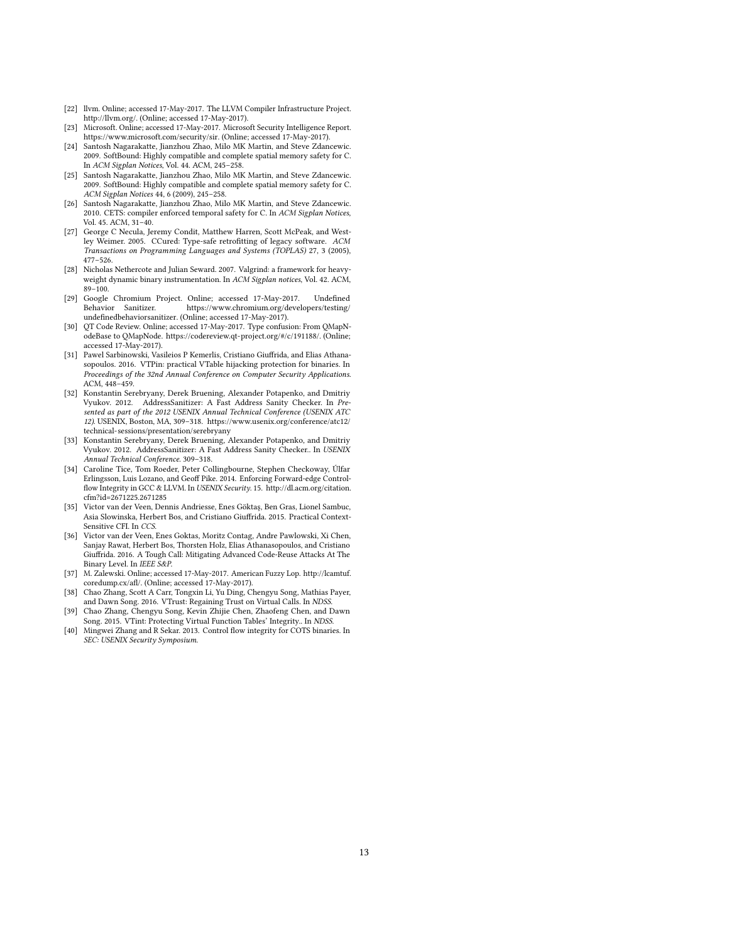- <span id="page-12-9"></span>[22] llvm. Online; accessed 17-May-2017. The LLVM Compiler Infrastructure Project. [http://llvm.org/.](http://llvm.org/) (Online; accessed 17-May-2017).
- <span id="page-12-7"></span>[23] Microsoft. Online; accessed 17-May-2017. Microsoft Security Intelligence Report. [https://www.microsoft.com/security/sir.](https://www.microsoft.com/security/sir) (Online; accessed 17-May-2017).
- <span id="page-12-4"></span>[24] Santosh Nagarakatte, Jianzhou Zhao, Milo MK Martin, and Steve Zdancewic. 2009. SoftBound: Highly compatible and complete spatial memory safety for C. In ACM Sigplan Notices, Vol. 44. ACM, 245–258.
- <span id="page-12-8"></span>[25] Santosh Nagarakatte, Jianzhou Zhao, Milo MK Martin, and Steve Zdancewic. 2009. SoftBound: Highly compatible and complete spatial memory safety for C. ACM Sigplan Notices 44, 6 (2009), 245–258.
- <span id="page-12-5"></span>[26] Santosh Nagarakatte, Jianzhou Zhao, Milo MK Martin, and Steve Zdancewic. 2010. CETS: compiler enforced temporal safety for C. In ACM Sigplan Notices, Vol. 45. ACM, 31–40.
- <span id="page-12-15"></span>[27] George C Necula, Jeremy Condit, Matthew Harren, Scott McPeak, and Westley Weimer. 2005. CCured: Type-safe retrotting of legacy software. ACM Transactions on Programming Languages and Systems (TOPLAS) 27, 3 (2005), 477–526.
- <span id="page-12-16"></span>[28] Nicholas Nethercote and Julian Seward. 2007. Valgrind: a framework for heavyweight dynamic binary instrumentation. In ACM Sigplan notices, Vol. 42. ACM, 89–100.
- <span id="page-12-0"></span>[29] Google Chromium Project. Online; accessed 17-May-2017. Undefined<br>Behavior Sanitizer. https://www.chromium.org/developers/testing/ https://www.chromium.org/developers/testing/ undefinedbehaviorsanitizer. (Online; accessed 17-May-2017).
- <span id="page-12-10"></span>[30] QT Code Review. Online; accessed 17-May-2017. Type confusion: From QMapNodeBase to QMapNode. [https://codereview.qt-project.org/#/c/191188/.](https://codereview.qt-project.org/#/c/191188/) (Online; accessed 17-May-2017).
- <span id="page-12-13"></span>[31] Pawel Sarbinowski, Vasileios P Kemerlis, Cristiano Giuffrida, and Elias Athanasopoulos. 2016. VTPin: practical VTable hijacking protection for binaries. In Proceedings of the 32nd Annual Conference on Computer Security Applications. ACM, 448–459.
- <span id="page-12-6"></span>[32] Konstantin Serebryany, Derek Bruening, Alexander Potapenko, and Dmitriy Vyukov. 2012. AddressSanitizer: A Fast Address Sanity Checker. In Presented as part of the 2012 USENIX Annual Technical Conference (USENIX ATC 12). USENIX, Boston, MA, 309–318. [https://www.usenix.org/conference/atc12/](https://www.usenix.org/conference/atc12/technical-sessions/presentation/serebryany) [technical-sessions/presentation/serebryany](https://www.usenix.org/conference/atc12/technical-sessions/presentation/serebryany)
- <span id="page-12-17"></span>[33] Konstantin Serebryany, Derek Bruening, Alexander Potapenko, and Dmitriy Vyukov. 2012. AddressSanitizer: A Fast Address Sanity Checker.. In USENIX Annual Technical Conference. 309–318.
- <span id="page-12-2"></span>[34] Caroline Tice, Tom Roeder, Peter Collingbourne, Stephen Checkoway, Úlfar Erlingsson, Luis Lozano, and Geoff Pike. 2014. Enforcing Forward-edge Controlflow Integrity in GCC & LLVM. In USENIX Security. 15. [http://dl.acm.org/citation.](http://dl.acm.org/citation.cfm?id=2671225.2671285) [cfm?id=2671225.2671285](http://dl.acm.org/citation.cfm?id=2671225.2671285)
- [35] Victor van der Veen, Dennis Andriesse, Enes Göktaş, Ben Gras, Lionel Sambuc, Asia Slowinska, Herbert Bos, and Cristiano Giuffrida. 2015. Practical Context-Sensitive CFI. In CCS.
- <span id="page-12-3"></span>[36] Victor van der Veen, Enes Goktas, Moritz Contag, Andre Pawlowski, Xi Chen, Sanjay Rawat, Herbert Bos, Thorsten Holz, Elias Athanasopoulos, and Cristiano Giurida. 2016. A Tough Call: Mitigating Advanced Code-Reuse Attacks At The Binary Level. In IEEE S&P.
- <span id="page-12-11"></span>[37] M. Zalewski. Online; accessed 17-May-2017. American Fuzzy Lop. [http://lcamtuf.](http://lcamtuf.coredump.cx/afl/) coredump.cx/afl/. (Online; accessed 17-May-2017).
- <span id="page-12-1"></span>[38] Chao Zhang, Scott A Carr, Tongxin Li, Yu Ding, Chengyu Song, Mathias Payer, and Dawn Song. 2016. VTrust: Regaining Trust on Virtual Calls. In NDSS.
- <span id="page-12-14"></span>[39] Chao Zhang, Chengyu Song, Kevin Zhijie Chen, Zhaofeng Chen, and Dawn Song. 2015. VTint: Protecting Virtual Function Tables' Integrity.. In NDSS.
- <span id="page-12-12"></span>[40] Mingwei Zhang and R Sekar. 2013. Control flow integrity for COTS binaries. In SEC: USENIX Security Symposium.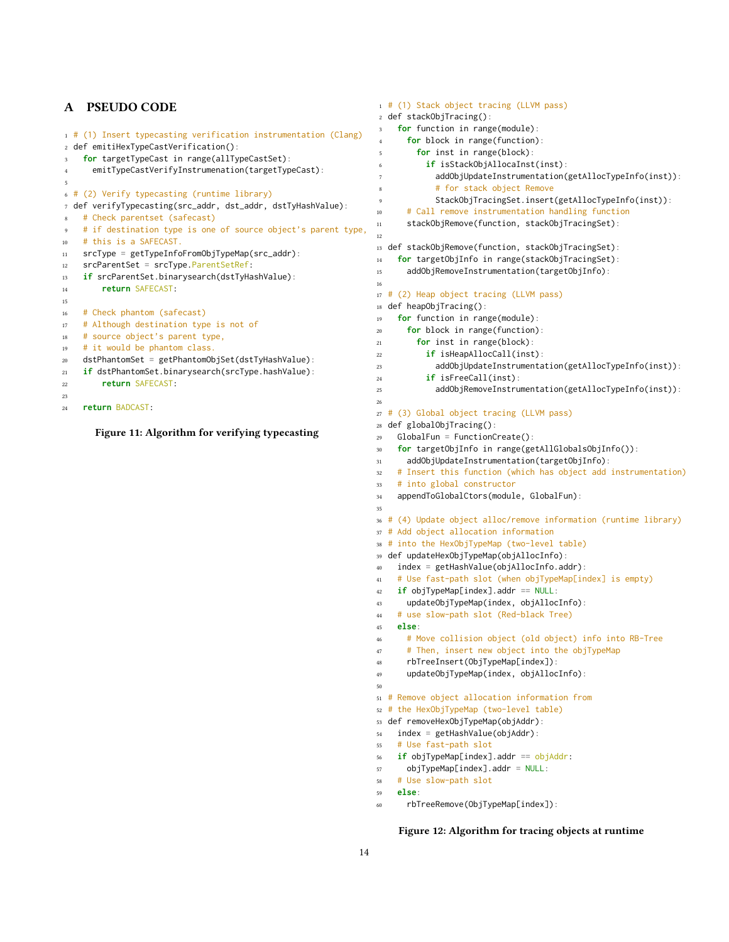# A PSEUDO CODE

```
1 # (1) Insert typecasting verification instrumentation (Clang)
2 def emitiHexTypeCastVerification():
3 for targetTypeCast in range(allTypeCastSet):
      emitTypeCastVerifyInstrumenation(targetTypeCast):
 5
6 # (2) Verify typecasting (runtime library)
7 def verifyTypecasting(src_addr, dst_addr, dstTyHashValue):
8 # Check parentset (safecast)
   # if destination type is one of source object's parent type,
10 # this is a SAFECAST.
11 srcType = getTypeInfoFromObjTypeMap(src_addr):
12 srcParentSet = srcType.ParentSetRef:
13 if srcParentSet.binarysearch(dstTyHashValue):
14 return SAFECAST:
15
16 # Check phantom (safecast)
17 # Although destination type is not of
18 # source object's parent type,
19 # it would be phantom class.
20 dstPhantomSet = getPhantomObjSet(dstTyHashValue):
21 if dstPhantomSet.binarysearch(srcType.hashValue):
22 return SAFECAST:
23
24 return BADCAST:
```
Figure 11: Algorithm for verifying typecasting

```
1 # (1) Stack object tracing (LLVM pass)
2 def stackObjTracing():
    for function in range(module):
      for block in range(function):
       for inst in range(block):
          6 if isStackObjAllocaInst(inst):
            addObjUpdateInstrumentation(getAllocTypeInfo(inst)):
            # for stack object Remove
            StackObjTracingSet.insert(getAllocTypeInfo(inst)):
10 # Call remove instrumentation handling function
11 stackObjRemove(function, stackObjTracingSet):
12
13 def stackObjRemove(function, stackObjTracingSet):
14 for targetObjInfo in range(stackObjTracingSet):
15 addObjRemoveInstrumentation(targetObjInfo):
16
17 # (2) Heap object tracing (LLVM pass)
18 def heapObjTracing():
19 for function in range(module):
20 for block in range(function):
21 for inst in range(block):
22 if isHeapAllocCall(inst):
23 addObjUpdateInstrumentation(getAllocTypeInfo(inst)):
24 if isFreeCall(inst):
25 addObjRemoveInstrumentation(getAllocTypeInfo(inst)):
26
27 # (3) Global object tracing (LLVM pass)
28 def globalObjTracing():
29 GlobalFun = FunctionCreate():
    for targetObjInfo in range(getAllGlobalsObjInfo()):
31 addObjUpdateInstrumentation(targetObjInfo):
32 # Insert this function (which has object add instrumentation)
33 # into global constructor
34 appendToGlobalCtors(module, GlobalFun):
35
36 # (4) Update object alloc/remove information (runtime library)
37 # Add object allocation information
38 # into the HexObjTypeMap (two-level table)
39 def updateHexObjTypeMap(objAllocInfo):
40 index = getHashValue(objAllocInfo.addr):
41 # Use fast-path slot (when objTypeMap[index] is empty)
42 if objTypeMap[index].addr == NULL:
43 updateObjTypeMap(index, objAllocInfo):
44 # use slow-path slot (Red-black Tree)
45 else:
46 # Move collision object (old object) info into RB-Tree
47 # Then, insert new object into the objTypeMap
48 rbTreeInsert(ObjTypeMap[index]):
49 updateObjTypeMap(index, objAllocInfo):
50
51 # Remove object allocation information from
52 # the HexObjTypeMap (two-level table)
53 def removeHexObjTypeMap(objAddr):
54 index = getHashValue(objAddr):
55 # Use fast-path slot
56 if objTypeMap[index].addr == objAddr:
57 objTypeMap[index].addr = NULL:
58 # Use slow-path slot
59 else:
60 rbTreeRemove(ObjTypeMap[index]):
```
#### Figure 12: Algorithm for tracing objects at runtime